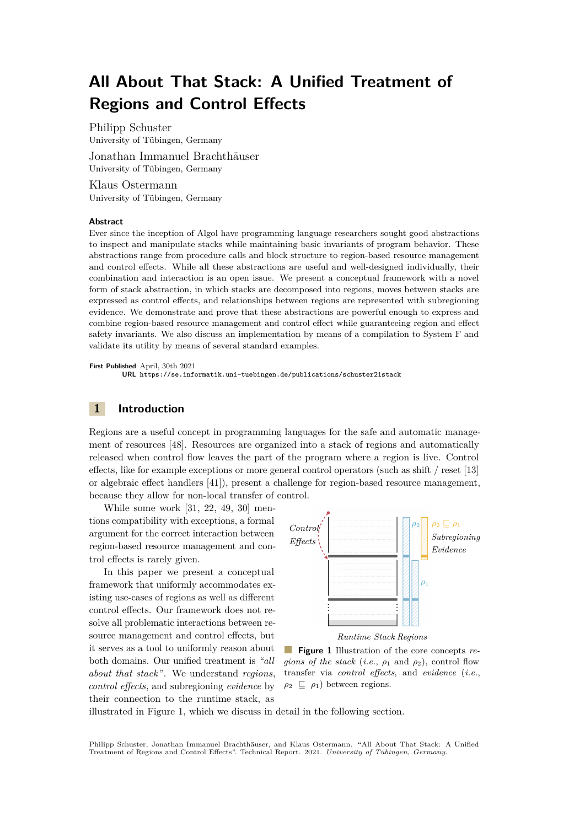# **All About That Stack: A Unified Treatment of Regions and Control Effects**

Philipp Schuster University of Tübingen, Germany

Jonathan Immanuel Brachthäuser University of Tübingen, Germany

Klaus Ostermann University of Tübingen, Germany

#### **Abstract**

Ever since the inception of Algol have programming language researchers sought good abstractions to inspect and manipulate stacks while maintaining basic invariants of program behavior. These abstractions range from procedure calls and block structure to region-based resource management and control effects. While all these abstractions are useful and well-designed individually, their combination and interaction is an open issue. We present a conceptual framework with a novel form of stack abstraction, in which stacks are decomposed into regions, moves between stacks are expressed as control effects, and relationships between regions are represented with subregioning evidence. We demonstrate and prove that these abstractions are powerful enough to express and combine region-based resource management and control effect while guaranteeing region and effect safety invariants. We also discuss an implementation by means of a compilation to System F and validate its utility by means of several standard examples.

**First Published** April, 30th 2021 **URL** <https://se.informatik.uni-tuebingen.de/publications/schuster21stack>

# **1 Introduction**

Regions are a useful concept in programming languages for the safe and automatic management of resources [\[48\]](#page-30-0). Resources are organized into a stack of regions and automatically released when control flow leaves the part of the program where a region is live. Control effects, like for example exceptions or more general control operators (such as shift / reset [\[13\]](#page-27-0) or algebraic effect handlers [\[41\]](#page-29-0)), present a challenge for region-based resource management, because they allow for non-local transfer of control.

While some work [\[31,](#page-29-1) [22,](#page-28-0) [49,](#page-30-1) [30\]](#page-29-2) mentions compatibility with exceptions, a formal argument for the correct interaction between region-based resource management and control effects is rarely given.

In this paper we present a conceptual framework that uniformly accommodates existing use-cases of regions as well as different control effects. Our framework does not resolve all problematic interactions between resource management and control effects, but it serves as a tool to uniformly reason about both domains. Our unified treatment is *"all about that stack"*. We understand *regions*, *control effects*, and subregioning *evidence* by their connection to the runtime stack, as

<span id="page-0-0"></span>



**Figure 1** Illustration of the core concepts *regions of the stack* (*i.e.*,  $\rho_1$  and  $\rho_2$ ), control flow transfer via *control effects*, and *evidence* (*i.e.*,  $\rho_2 \subseteq \rho_1$ ) between regions.

illustrated in Figure [1,](#page-0-0) which we discuss in detail in the following section.

Philipp Schuster, Jonathan Immanuel Brachthäuser, and Klaus Ostermann. "All About That Stack: A Unified Treatment of Regions and Control Effects". Technical Report. 2021. *University of Tübingen, Germany*.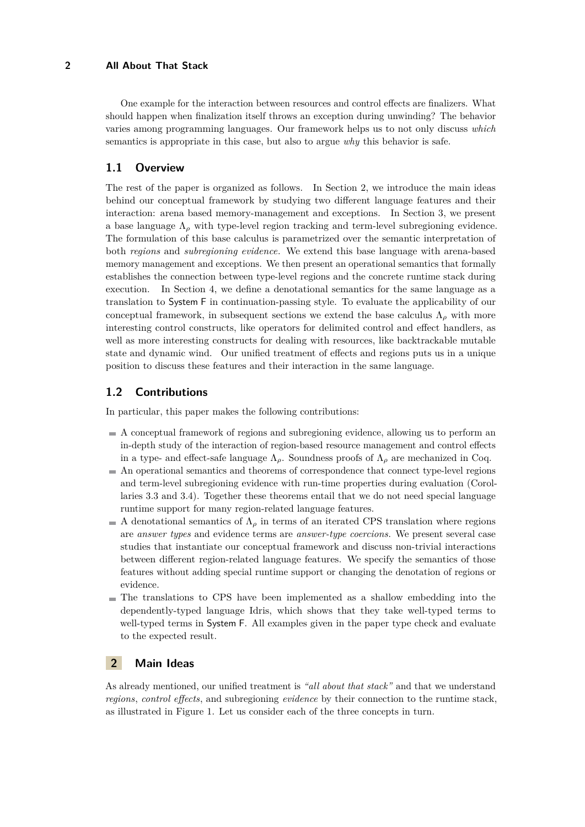### **2 All About That Stack**

One example for the interaction between resources and control effects are finalizers. What should happen when finalization itself throws an exception during unwinding? The behavior varies among programming languages. Our framework helps us to not only discuss *which* semantics is appropriate in this case, but also to argue *why* this behavior is safe.

# **1.1 Overview**

The rest of the paper is organized as follows. In Section [2,](#page-1-0) we introduce the main ideas behind our conceptual framework by studying two different language features and their interaction: arena based memory-management and exceptions. In Section [3,](#page-5-0) we present a base language  $\Lambda_{\rho}$  with type-level region tracking and term-level subregioning evidence. The formulation of this base calculus is parametrized over the semantic interpretation of both *regions* and *subregioning evidence*. We extend this base language with arena-based memory management and exceptions. We then present an operational semantics that formally establishes the connection between type-level regions and the concrete runtime stack during execution. In Section [4,](#page-12-0) we define a denotational semantics for the same language as a translation to System F in continuation-passing style. To evaluate the applicability of our conceptual framework, in subsequent sections we extend the base calculus  $\Lambda_{\rho}$  with more interesting control constructs, like operators for delimited control and effect handlers, as well as more interesting constructs for dealing with resources, like backtrackable mutable state and dynamic wind. Our unified treatment of effects and regions puts us in a unique position to discuss these features and their interaction in the same language.

# **1.2 Contributions**

In particular, this paper makes the following contributions:

- A conceptual framework of regions and subregioning evidence, allowing us to perform an in-depth study of the interaction of region-based resource management and control effects in a type- and effect-safe language  $\Lambda_{\rho}$ . Soundness proofs of  $\Lambda_{\rho}$  are mechanized in Coq.
- An operational semantics and theorems of correspondence that connect type-level regions and term-level subregioning evidence with run-time properties during evaluation (Corollaries [3.3](#page-12-1) and [3.4\)](#page-12-2). Together these theorems entail that we do not need special language runtime support for many region-related language features.
- A denotational semantics of  $\Lambda$ <sub>*ρ*</sub> in terms of an iterated CPS translation where regions are *answer types* and evidence terms are *answer-type coercions*. We present several case studies that instantiate our conceptual framework and discuss non-trivial interactions between different region-related language features. We specify the semantics of those features without adding special runtime support or changing the denotation of regions or evidence.
- $\blacksquare$  The translations to CPS have been implemented as a shallow embedding into the dependently-typed language Idris, which shows that they take well-typed terms to well-typed terms in System F. All examples given in the paper type check and evaluate to the expected result.

# <span id="page-1-0"></span>**2 Main Ideas**

As already mentioned, our unified treatment is *"all about that stack"* and that we understand *regions*, *control effects*, and subregioning *evidence* by their connection to the runtime stack, as illustrated in Figure [1.](#page-0-0) Let us consider each of the three concepts in turn.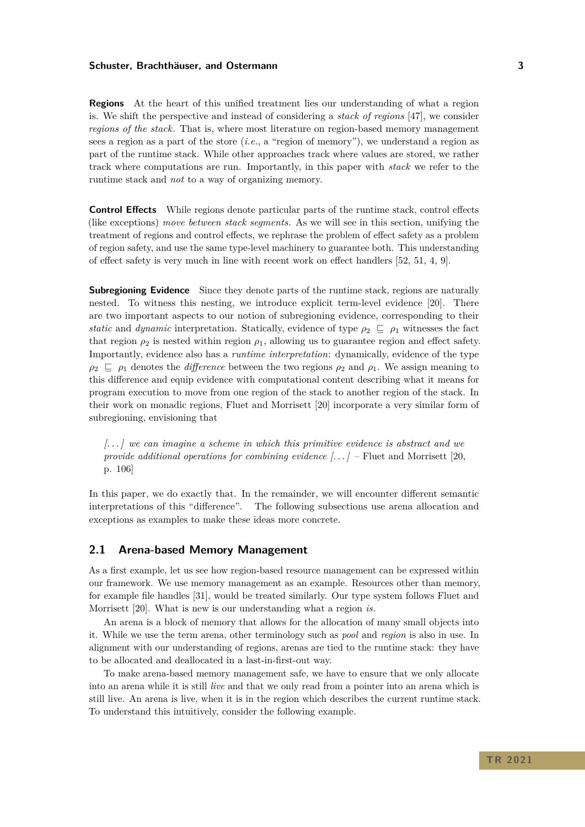**Regions** At the heart of this unified treatment lies our understanding of what a region is. We shift the perspective and instead of considering a *stack of regions* [\[47\]](#page-30-2), we consider *regions of the stack*. That is, where most literature on region-based memory management sees a region as a part of the store (*i.e.*, a "region of memory"), we understand a region as part of the runtime stack. While other approaches track where values are stored, we rather track where computations are run. Importantly, in this paper with *stack* we refer to the runtime stack and *not* to a way of organizing memory.

**Control Effects** While regions denote particular parts of the runtime stack, control effects (like exceptions) *move between stack segments*. As we will see in this section, unifying the treatment of regions and control effects, we rephrase the problem of effect safety as a problem of region safety, and use the same type-level machinery to guarantee both. This understanding of effect safety is very much in line with recent work on effect handlers [\[52,](#page-30-3) [51,](#page-30-4) [4,](#page-27-1) [9\]](#page-27-2).

**Subregioning Evidence** Since they denote parts of the runtime stack, regions are naturally nested. To witness this nesting, we introduce explicit term-level evidence [\[20\]](#page-28-1). There are two important aspects to our notion of subregioning evidence, corresponding to their *static* and *dynamic* interpretation. Statically, evidence of type  $\rho_2 \subseteq \rho_1$  witnesses the fact that region  $\rho_2$  is nested within region  $\rho_1$ , allowing us to guarantee region and effect safety. Importantly, evidence also has a *runtime interpretation*: dynamically, evidence of the type  $\rho_2 \subseteq \rho_1$  denotes the *difference* between the two regions  $\rho_2$  and  $\rho_1$ . We assign meaning to this difference and equip evidence with computational content describing what it means for program execution to move from one region of the stack to another region of the stack. In their work on monadic regions, Fluet and Morrisett [\[20\]](#page-28-1) incorporate a very similar form of subregioning, envisioning that

*[. . . ] we can imagine a scheme in which this primitive evidence is abstract and we provide additional operations for combining evidence [. . . ]* – Fluet and Morrisett [\[20,](#page-28-1) p. 106]

In this paper, we do exactly that. In the remainder, we will encounter different semantic interpretations of this "difference". The following subsections use arena allocation and exceptions as examples to make these ideas more concrete.

## <span id="page-2-0"></span>**2.1 Arena-based Memory Management**

As a first example, let us see how region-based resource management can be expressed within our framework. We use memory management as an example. Resources other than memory, for example file handles [\[31\]](#page-29-1), would be treated similarly. Our type system follows Fluet and Morrisett [\[20\]](#page-28-1). What is new is our understanding what a region *is*.

An arena is a block of memory that allows for the allocation of many small objects into it. While we use the term arena, other terminology such as *pool* and *region* is also in use. In alignment with our understanding of regions, arenas are tied to the runtime stack: they have to be allocated and deallocated in a last-in-first-out way.

To make arena-based memory management safe, we have to ensure that we only allocate into an arena while it is still *live* and that we only read from a pointer into an arena which is still live. An arena is live, when it is in the region which describes the current runtime stack. To understand this intuitively, consider the following example.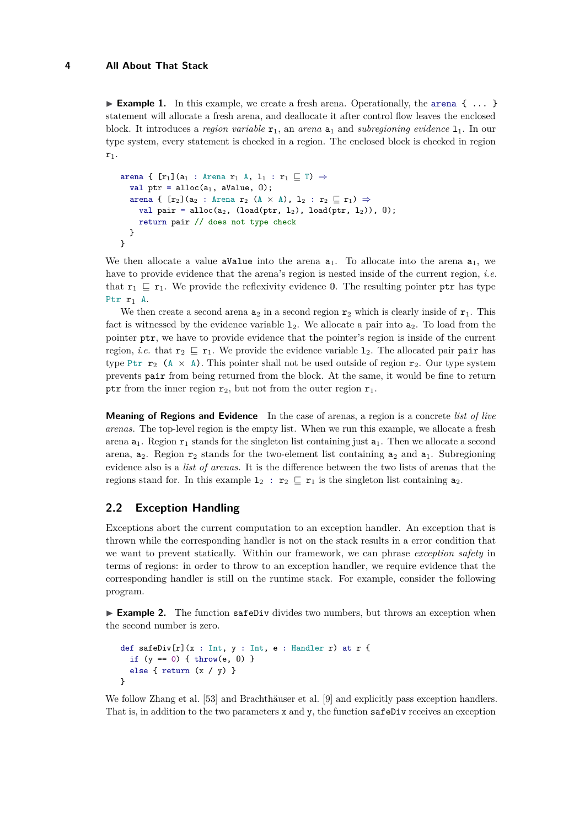**Example 1.** In this example, we create a fresh arena. Operationally, the arena  $\{\ldots\}$ statement will allocate a fresh arena, and deallocate it after control flow leaves the enclosed block. It introduces a *region variable*  $r_1$ , an *arena*  $a_1$  and *subregioning evidence*  $1_1$ . In our type system, every statement is checked in a region. The enclosed block is checked in region  $r_1$ .

```
arena { [r_1](a_1 : Arena r_1 A, l_1 : r_1 \sqsubseteq T) \Rightarrowval ptr = alloc(a_1, aValue, 0);arena { [r_2](a_2 : Arena r_2 (A \times A), 1_2 : r_2 \sqsubseteq r_1) \Rightarrowval pair = alloc(a_2, (load(ptr, 1_2), load(ptr, 1_2)), 0);
     return pair // does not type check
  }
}
```
We then allocate a value aValue into the arena  $a_1$ . To allocate into the arena  $a_1$ , we have to provide evidence that the arena's region is nested inside of the current region, *i.e.* that  ${\bf r}_1 \subseteq {\bf r}_1$ . We provide the reflexivity evidence 0. The resulting pointer ptr has type Ptr  $r_1$  A.

We then create a second arena  $a_2$  in a second region  $r_2$  which is clearly inside of  $r_1$ . This fact is witnessed by the evidence variable  $1_2$ . We allocate a pair into  $a_2$ . To load from the pointer ptr, we have to provide evidence that the pointer's region is inside of the current region, *i.e.* that  $\mathbf{r}_2 \subseteq \mathbf{r}_1$ . We provide the evidence variable  $\mathbf{1}_2$ . The allocated pair pair has type Ptr  $\mathbf{r}_2$  (A  $\times$  A). This pointer shall not be used outside of region  $\mathbf{r}_2$ . Our type system prevents pair from being returned from the block. At the same, it would be fine to return ptr from the inner region  $r_2$ , but not from the outer region  $r_1$ .

**Meaning of Regions and Evidence** In the case of arenas, a region is a concrete *list of live arenas*. The top-level region is the empty list. When we run this example, we allocate a fresh arena  $a_1$ . Region  $r_1$  stands for the singleton list containing just  $a_1$ . Then we allocate a second arena,  $a_2$ . Region  $r_2$  stands for the two-element list containing  $a_2$  and  $a_1$ . Subregioning evidence also is a *list of arenas*. It is the difference between the two lists of arenas that the regions stand for. In this example  $1_2 : r_2 \sqsubseteq r_1$  is the singleton list containing  $a_2$ .

# <span id="page-3-0"></span>**2.2 Exception Handling**

Exceptions abort the current computation to an exception handler. An exception that is thrown while the corresponding handler is not on the stack results in a error condition that we want to prevent statically. Within our framework, we can phrase *exception safety* in terms of regions: in order to throw to an exception handler, we require evidence that the corresponding handler is still on the runtime stack. For example, consider the following program.

► **Example 2.** The function safeDiv divides two numbers, but throws an exception when the second number is zero.

```
def safeDiv[r](x : Int, y : Int, e : H andler r) at r {
  if (y == 0) { throw(e, 0) }
  else { return (x / y) }
}
```
We follow Zhang et al. [\[53\]](#page-30-5) and Brachthäuser et al. [\[9\]](#page-27-2) and explicitly pass exception handlers. That is, in addition to the two parameters x and y, the function safeDiv receives an exception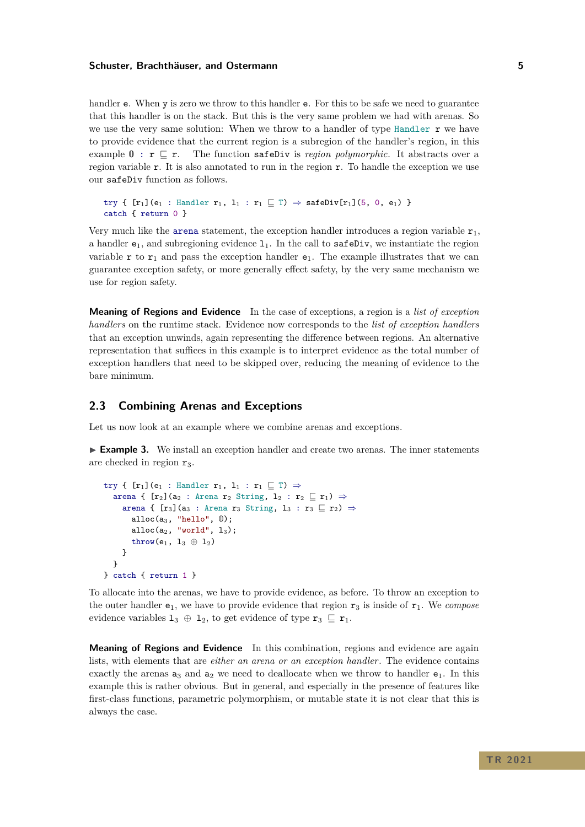handler **e**. When y is zero we throw to this handler **e**. For this to be safe we need to guarantee that this handler is on the stack. But this is the very same problem we had with arenas. So we use the very same solution: When we throw to a handler of type Handler  $\bf{r}$  we have to provide evidence that the current region is a subregion of the handler's region, in this example  $\mathbf{0}$ :  $\mathbf{r} \sqsubseteq \mathbf{r}$ . The function safeDiv is *region polymorphic*. It abstracts over a region variable r. It is also annotated to run in the region r. To handle the exception we use our safeDiv function as follows.

```
try { [r_1](e_1 : \text{Handler } r_1, 1_1 : r_1 \sqsubseteq T) \Rightarrow \text{safeDiv}[r_1](5, 0, e_1) }
catch { return 0 }
```
Very much like the arena statement, the exception handler introduces a region variable  $r_1$ , a handler  $e_1$ , and subregioning evidence  $1_1$ . In the call to safeDiv, we instantiate the region variable r to  $r_1$  and pass the exception handler  $e_1$ . The example illustrates that we can guarantee exception safety, or more generally effect safety, by the very same mechanism we use for region safety.

**Meaning of Regions and Evidence** In the case of exceptions, a region is a *list of exception handlers* on the runtime stack. Evidence now corresponds to the *list of exception handlers* that an exception unwinds, again representing the difference between regions. An alternative representation that suffices in this example is to interpret evidence as the total number of exception handlers that need to be skipped over, reducing the meaning of evidence to the bare minimum.

# **2.3 Combining Arenas and Exceptions**

Let us now look at an example where we combine arenas and exceptions.

► **Example 3.** We install an exception handler and create two arenas. The inner statements are checked in region  $r_3$ .

```
try { [r_1](e_1 : \text{Handler } r_1, 1_1 : r_1 \sqsubseteq T) \Rightarrowarena { [r_2](a_2 : Arena r_2 String, l_2 : r_2 \sqsubseteq r_1) \Rightarrowarena { [r_3] (a<sub>3</sub> : Arena r<sub>3</sub> String, 1<sub>3</sub> : r<sub>3</sub> \sqsubseteq r<sub>2</sub>) \Rightarrowalloc(a_3, "hello", 0);
         alloc(a_2, "world", 1_3);throw(e<sub>1</sub>, l_3 \oplus l_2)
      }
   }
} catch { return 1 }
```
To allocate into the arenas, we have to provide evidence, as before. To throw an exception to the outer handler  $e_1$ , we have to provide evidence that region  $r_3$  is inside of  $r_1$ . We *compose* evidence variables  $1_3 \oplus 1_2$ , to get evidence of type  $\mathbf{r}_3 \subseteq \mathbf{r}_1$ .

**Meaning of Regions and Evidence** In this combination, regions and evidence are again lists, with elements that are *either an arena or an exception handler*. The evidence contains exactly the arenas  $a_3$  and  $a_2$  we need to deallocate when we throw to handler  $e_1$ . In this example this is rather obvious. But in general, and especially in the presence of features like first-class functions, parametric polymorphism, or mutable state it is not clear that this is always the case.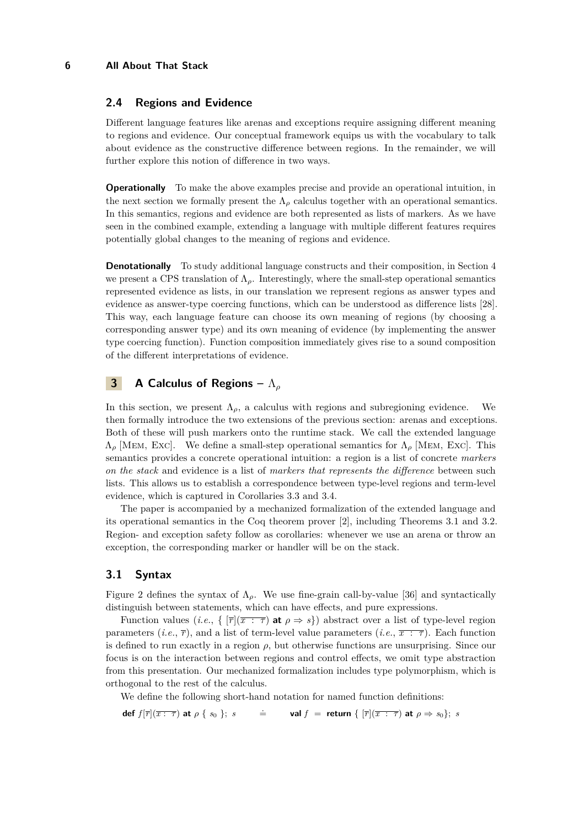### **6 All About That Stack**

# **2.4 Regions and Evidence**

Different language features like arenas and exceptions require assigning different meaning to regions and evidence. Our conceptual framework equips us with the vocabulary to talk about evidence as the constructive difference between regions. In the remainder, we will further explore this notion of difference in two ways.

**Operationally** To make the above examples precise and provide an operational intuition, in the next section we formally present the  $\Lambda_{\rho}$  calculus together with an operational semantics. In this semantics, regions and evidence are both represented as lists of markers. As we have seen in the combined example, extending a language with multiple different features requires potentially global changes to the meaning of regions and evidence.

**Denotationally** To study additional language constructs and their composition, in Section [4](#page-12-0) we present a CPS translation of  $\Lambda_{\rho}$ . Interestingly, where the small-step operational semantics represented evidence as lists, in our translation we represent regions as answer types and evidence as answer-type coercing functions, which can be understood as difference lists [\[28\]](#page-28-2). This way, each language feature can choose its own meaning of regions (by choosing a corresponding answer type) and its own meaning of evidence (by implementing the answer type coercing function). Function composition immediately gives rise to a sound composition of the different interpretations of evidence.

# <span id="page-5-0"></span>**3 A Calculus of Regions –** Λ*<sup>ρ</sup>*

In this section, we present  $\Lambda_{\rho}$ , a calculus with regions and subregioning evidence. We then formally introduce the two extensions of the previous section: arenas and exceptions. Both of these will push markers onto the runtime stack. We call the extended language Λ*<sup>ρ</sup>* [Mem, Exc]. We define a small-step operational semantics for Λ*<sup>ρ</sup>* [Mem, Exc]. This semantics provides a concrete operational intuition: a region is a list of concrete *markers on the stack* and evidence is a list of *markers that represents the difference* between such lists. This allows us to establish a correspondence between type-level regions and term-level evidence, which is captured in Corollaries [3.3](#page-12-1) and [3.4.](#page-12-2)

The paper is accompanied by a mechanized formalization of the extended language and its operational semantics in the Coq theorem prover [\[2\]](#page-27-3), including Theorems [3.1](#page-11-0) and [3.2.](#page-11-1) Region- and exception safety follow as corollaries: whenever we use an arena or throw an exception, the corresponding marker or handler will be on the stack.

# **3.1 Syntax**

Figure [2](#page-6-0) defines the syntax of  $\Lambda_{\rho}$ . We use fine-grain call-by-value [\[36\]](#page-29-3) and syntactically distinguish between statements, which can have effects, and pure expressions.

Function values (*i.e.*,  $\{ [\overline{r}](\overline{x} : \overline{\tau}) \text{ at } \rho \Rightarrow s \}$ ) abstract over a list of type-level region parameters  $(i.e., \overline{r})$ , and a list of term-level value parameters  $(i.e., \overline{x} : \overline{\tau})$ . Each function is defined to run exactly in a region  $\rho$ , but otherwise functions are unsurprising. Since our focus is on the interaction between regions and control effects, we omit type abstraction from this presentation. Our mechanized formalization includes type polymorphism, which is orthogonal to the rest of the calculus.

We define the following short-hand notation for named function definitions:

**def**  $f[\overline{r}](\overline{x : \tau})$  **at**  $\rho \{s_0\}; s$ *.* **val**  $f =$  **return**  $\{ [\overline{r}](\overline{x} : \overline{\tau}) \text{ at } \rho \Rightarrow s_0 \}; s$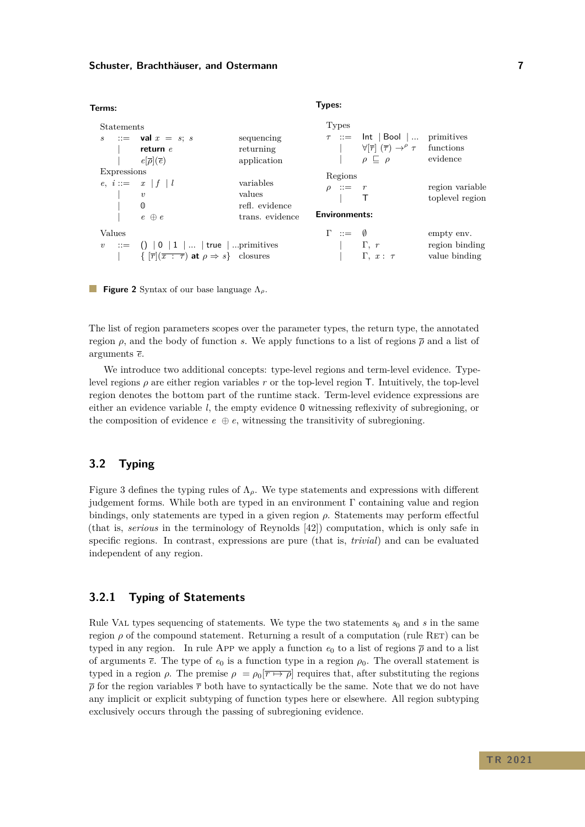<span id="page-6-0"></span>

| Terms:                     |                                                                                                                                            |                                                          | Types:                                                      |                                                                                                                                  |                                               |
|----------------------------|--------------------------------------------------------------------------------------------------------------------------------------------|----------------------------------------------------------|-------------------------------------------------------------|----------------------------------------------------------------------------------------------------------------------------------|-----------------------------------------------|
| <b>Statements</b><br>S     | $\therefore$ val $x = s; s$<br>return $e$<br>$e[\overline{\rho}](\overline{e})$                                                            | sequencing<br>returning<br>application                   | <b>Types</b>                                                | $\tau$ ::= lnt   Bool  <br>$\forall [\overline{r}] (\overline{\tau}) \rightarrow^{\rho} \tau$ functions<br>$\rho \subseteq \rho$ | primitives<br>evidence                        |
| <b>Expressions</b>         | $e, i ::= x   f   l$<br>$\boldsymbol{v}$<br>$\mathbb O$<br>$e \oplus e$                                                                    | variables<br>values<br>refl. evidence<br>trans. evidence | Regions<br>$\rho \quad ::= \quad r$<br><b>Environments:</b> |                                                                                                                                  | region variable<br>toplevel region            |
| Values<br>$\boldsymbol{v}$ | $\therefore$ ()   0   1      true    primitives<br>$\{\ \overline{r} \mid (\overline{x} : \tau) \text{ at } \rho \Rightarrow s\}$ closures |                                                          | $\Gamma \ :: = \ 0$                                         | $\Gamma, r$<br>$\Gamma$ , $x: \tau$                                                                                              | empty env.<br>region binding<br>value binding |

**Figure 2** Syntax of our base language Λ*ρ*.

The list of region parameters scopes over the parameter types, the return type, the annotated region *ρ*, and the body of function *s*. We apply functions to a list of regions  $\bar{\rho}$  and a list of arguments *e*.

We introduce two additional concepts: type-level regions and term-level evidence. Typelevel regions *ρ* are either region variables *r* or the top-level region T. Intuitively, the top-level region denotes the bottom part of the runtime stack. Term-level evidence expressions are either an evidence variable *l*, the empty evidence 0 witnessing reflexivity of subregioning, or the composition of evidence  $e \oplus e$ , witnessing the transitivity of subregioning.

# **3.2 Typing**

Figure [3](#page-7-0) defines the typing rules of Λ*ρ*. We type statements and expressions with different judgement forms. While both are typed in an environment  $\Gamma$  containing value and region bindings, only statements are typed in a given region *ρ*. Statements may perform effectful (that is, *serious* in the terminology of Reynolds [\[42\]](#page-29-4)) computation, which is only safe in specific regions. In contrast, expressions are pure (that is, *trivial*) and can be evaluated independent of any region.

# **3.2.1 Typing of Statements**

Rule VAL types sequencing of statements. We type the two statements  $s_0$  and  $s$  in the same region  $\rho$  of the compound statement. Returning a result of a computation (rule RET) can be typed in any region. In rule App we apply a function  $e_0$  to a list of regions  $\bar{\rho}$  and to a list of arguments  $\bar{e}$ . The type of  $e_0$  is a function type in a region  $\rho_0$ . The overall statement is typed in a region  $\rho$ . The premise  $\rho = \rho_0[\overline{r \mapsto \rho}]$  requires that, after substituting the regions  $\bar{\rho}$  for the region variables  $\bar{r}$  both have to syntactically be the same. Note that we do not have any implicit or explicit subtyping of function types here or elsewhere. All region subtyping exclusively occurs through the passing of subregioning evidence.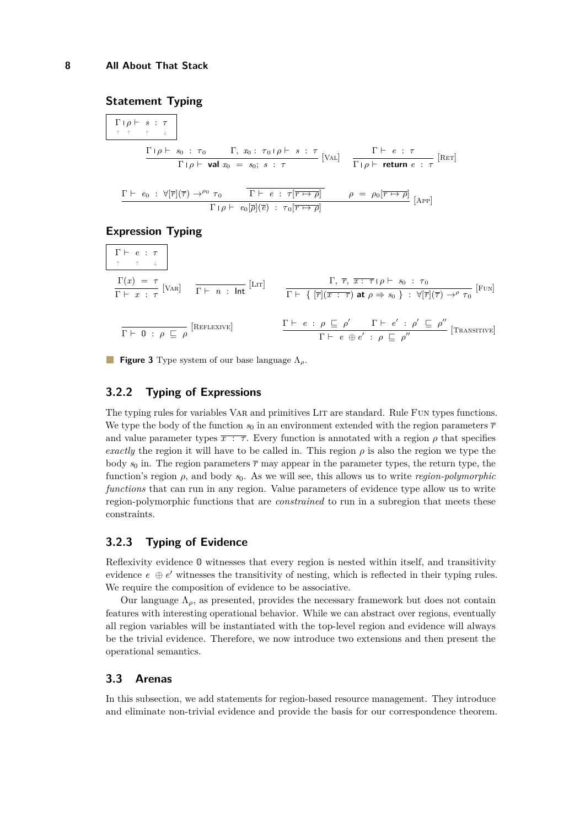# <span id="page-7-0"></span>**Statement Typing**

$$
\begin{array}{c}\n\Gamma |\rho \vdash s : \tau \\
\hline\n\uparrow \uparrow \uparrow \downarrow\n\end{array}
$$
\n
$$
\frac{\Gamma |\rho \vdash s_0 : \tau_0 \qquad \Gamma, x_0 : \tau_0 |\rho \vdash s : \tau}{\Gamma |\rho \vdash \text{val } x_0 = s_0; s : \tau}\n\begin{bmatrix}\n\text{Val} \\
\hline\n\Gamma |\rho \vdash \text{return } e : \tau\n\end{bmatrix}\n\begin{bmatrix}\n\text{Rer}\n\end{bmatrix}
$$

$$
\frac{\Gamma \vdash e_0 : \forall [\overline{r}](\overline{\tau}) \rightarrow^{\rho_0} \tau_0 \qquad \overline{\Gamma \vdash e : \tau[\overline{r \mapsto \rho}]} \qquad \rho = \rho_0[\overline{r \mapsto \rho}]}{\Gamma \upharpoonright \rho \vdash e_0[\overline{\rho}](\overline{e}) : \tau_0[\overline{r \mapsto \rho}]} \qquad \text{[APP]}
$$

### **Expression Typing**

$$
\begin{array}{c}\n\Gamma \vdash e : \tau \\
\uparrow \quad \uparrow \quad \downarrow\n\end{array}
$$
\n
$$
\frac{\Gamma(x) = \tau}{\Gamma \vdash x : \tau} \text{[VaR]} \quad \frac{\Gamma \vdash n : \text{Int}}{\Gamma \vdash n : \text{Int}} \text{[Lrr]} \quad \frac{\Gamma, \ \overline{r}, \ \overline{x : \tau \vdash \rho \vdash s_0 : \tau_0}}{\Gamma \vdash \{ [\overline{r}](\overline{x} : \overline{\tau}) \text{ at } \rho \Rightarrow s_0 \} : \forall [\overline{r}](\overline{\tau}) \rightarrow^{\rho} \tau_0} \text{[Fun]}
$$
\n
$$
\frac{\Gamma \vdash e : \rho \sqsubseteq \rho'}{\Gamma \vdash e \oplus e' : \rho \sqsubseteq \rho''} \text{[Transprove]}
$$

**Figure 3** Type system of our base language Λ*ρ*.

# **3.2.2 Typing of Expressions**

The typing rules for variables VAR and primitives LIT are standard. Rule FUN types functions. We type the body of the function  $s_0$  in an environment extended with the region parameters  $\bar{r}$ and value parameter types  $\overline{x}$ :  $\overline{\tau}$ . Every function is annotated with a region  $\rho$  that specifies *exactly* the region it will have to be called in. This region  $\rho$  is also the region we type the body  $s_0$  in. The region parameters  $\bar{\tau}$  may appear in the parameter types, the return type, the function's region *ρ*, and body *s*0. As we will see, this allows us to write *region-polymorphic functions* that can run in any region. Value parameters of evidence type allow us to write region-polymorphic functions that are *constrained* to run in a subregion that meets these constraints.

# **3.2.3 Typing of Evidence**

Reflexivity evidence 0 witnesses that every region is nested within itself, and transitivity evidence  $e \oplus e'$  witnesses the transitivity of nesting, which is reflected in their typing rules. We require the composition of evidence to be associative.

Our language  $\Lambda_{\rho}$ , as presented, provides the necessary framework but does not contain features with interesting operational behavior. While we can abstract over regions, eventually all region variables will be instantiated with the top-level region and evidence will always be the trivial evidence. Therefore, we now introduce two extensions and then present the operational semantics.

# **3.3 Arenas**

In this subsection, we add statements for region-based resource management. They introduce and eliminate non-trivial evidence and provide the basis for our correspondence theorem.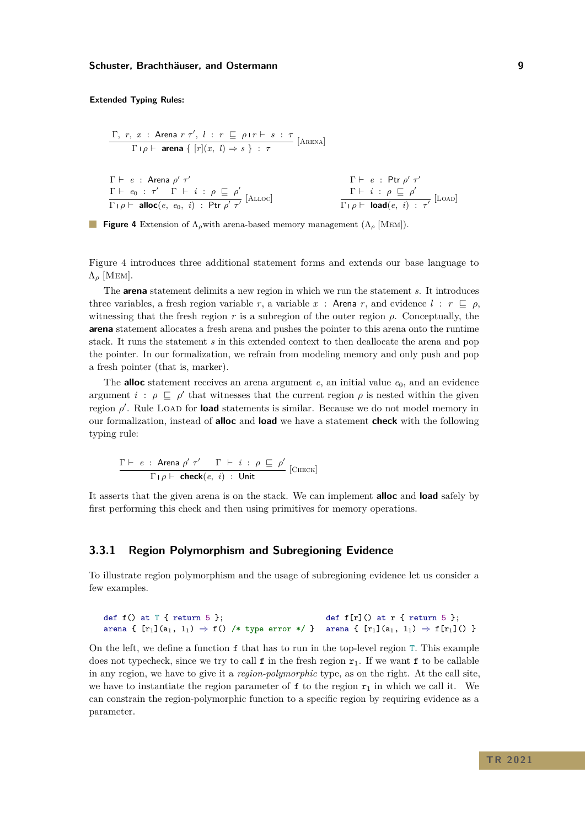#### <span id="page-8-0"></span>**Extended Typing Rules:**

| $\Gamma, r, x$ : $\text{Area } r \tau', l : r \subseteq \rho r + s : \tau$    | $[\text{ARENA}]$                                                   |                                             |
|-------------------------------------------------------------------------------|--------------------------------------------------------------------|---------------------------------------------|
| $\Gamma \vdash e$ : $\text{Area } \rho' \tau'$                                | $\Gamma \vdash e_0 : \tau' \Gamma \vdash i : \rho \subseteq \rho'$ | $\Gamma \vdash e : \text{Ptr } \rho' \tau'$ |
| $\Gamma \vdash e_0 : \tau' \Gamma \vdash i : \rho \subseteq \rho'$            | $[\text{ALLoc}]$                                                   | $\Gamma \vdash i : \rho \subseteq \rho'$    |
| $\Gamma \vdash \rho \vdash \text{alloc}(e, e_0, i) : \text{Ptr } \rho' \tau'$ | $\Gamma \vdash i : \rho \subseteq \rho'$                           | $[\text{Load}(e, i) : \tau']$               |



Figure [4](#page-8-0) introduces three additional statement forms and extends our base language to  $\Lambda$ <sub>ρ</sub> [MEM].

The **arena** statement delimits a new region in which we run the statement *s*. It introduces three variables, a fresh region variable *r*, a variable *x* : Arena *r*, and evidence  $l : r \subseteq \rho$ , witnessing that the fresh region  $r$  is a subregion of the outer region  $\rho$ . Conceptually, the **arena** statement allocates a fresh arena and pushes the pointer to this arena onto the runtime stack. It runs the statement *s* in this extended context to then deallocate the arena and pop the pointer. In our formalization, we refrain from modeling memory and only push and pop a fresh pointer (that is, marker).

The **alloc** statement receives an arena argument  $e$ , an initial value  $e_0$ , and an evidence argument  $i : \rho \subseteq \rho'$  that witnesses that the current region  $\rho$  is nested within the given region *ρ'*. Rule LOAD for **load** statements is similar. Because we do not model memory in our formalization, instead of **alloc** and **load** we have a statement **check** with the following typing rule:

$$
\frac{\Gamma \vdash e : \text{Area } \rho' \tau' \quad \Gamma \vdash i : \rho \sqsubseteq \rho'}{\Gamma \vdash \rho \vdash \text{check}(e, i) : \text{Unit}} \text{[CHECK]}
$$

It asserts that the given arena is on the stack. We can implement **alloc** and **load** safely by first performing this check and then using primitives for memory operations.

# **3.3.1 Region Polymorphism and Subregioning Evidence**

To illustrate region polymorphism and the usage of subregioning evidence let us consider a few examples.

```
def f() at T { return 5 };
arena { [r_1](a_1, 1_1) \Rightarrow f() /* type error */ } arena { [r_1](a_1, 1_1) \Rightarrow f(r_1](() }
                                                          def f[r]() at r \{ return 5 \};
```
On the left, we define a function  $f$  that has to run in the top-level region T. This example does not typecheck, since we try to call  $f$  in the fresh region  $r_1$ . If we want  $f$  to be callable in any region, we have to give it a *region-polymorphic* type, as on the right. At the call site, we have to instantiate the region parameter of f to the region  $r_1$  in which we call it. We can constrain the region-polymorphic function to a specific region by requiring evidence as a parameter.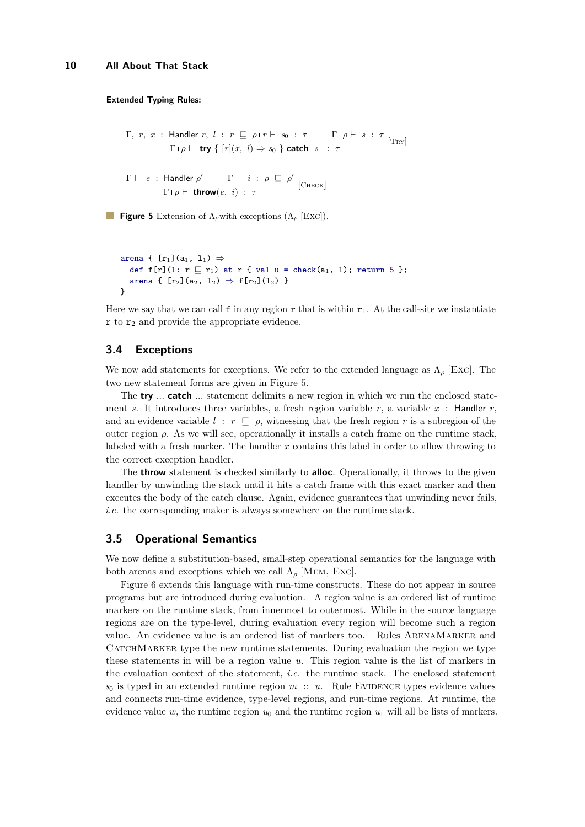<span id="page-9-0"></span>**Γ**,  $r, x$  : Handler  $r, l: r ⊡ ρ$ ι $r ⊢ s_0 : τ$  Γι $ρ ⊢ s : τ$  $\Gamma/\rho \vdash \text{try} \{ [r](x, l) \Rightarrow s_0 \}$  **catch**  $s : \tau$  [Try]  $\Gamma \vdash \: e \: : \:$  Handler  $\rho' \qquad \: \Gamma \vdash \: i \: : \: \rho \: \sqsubseteq \: \rho'$  $\frac{\text{r.t. } P}{\Gamma | \rho \vdash \text{throw}(e, i) : \tau}$  [CHECK]

**Figure 5** Extension of Λ*ρ*with exceptions (Λ*<sup>ρ</sup>* [Exc]).

```
arena { [r_1](a_1, 1_1) \Rightarrowdef f[r](1: r \sqsubseteq r_1) at r { val u = check(a<sub>1</sub>, 1); return 5 };
  arena { [r_2](a_2, 1_2) \Rightarrow f[r_2](1_2) }
}
```
Here we say that we can call f in any region r that is within  $r_1$ . At the call-site we instantiate  $\mathbf r$  to  $\mathbf r_2$  and provide the appropriate evidence.

### **3.4 Exceptions**

We now add statements for exceptions. We refer to the extended language as  $\Lambda_{\rho}$  [Exc]. The two new statement forms are given in Figure [5.](#page-9-0)

The **try** *...* **catch** *...* statement delimits a new region in which we run the enclosed statement *s*. It introduces three variables, a fresh region variable  $r$ , a variable  $x$ : Handler  $r$ , and an evidence variable  $l : r \subseteq \rho$ , witnessing that the fresh region r is a subregion of the outer region  $\rho$ . As we will see, operationally it installs a catch frame on the runtime stack, labeled with a fresh marker. The handler *x* contains this label in order to allow throwing to the correct exception handler.

The **throw** statement is checked similarly to **alloc**. Operationally, it throws to the given handler by unwinding the stack until it hits a catch frame with this exact marker and then executes the body of the catch clause. Again, evidence guarantees that unwinding never fails, *i.e.* the corresponding maker is always somewhere on the runtime stack.

### <span id="page-9-1"></span>**3.5 Operational Semantics**

We now define a substitution-based, small-step operational semantics for the language with both arenas and exceptions which we call  $\Lambda_{\rho}$  [MEM, Exc].

Figure [6](#page-10-0) extends this language with run-time constructs. These do not appear in source programs but are introduced during evaluation. A region value is an ordered list of runtime markers on the runtime stack, from innermost to outermost. While in the source language regions are on the type-level, during evaluation every region will become such a region value. An evidence value is an ordered list of markers too. Rules ArenaMarker and CATCHMARKER type the new runtime statements. During evaluation the region we type these statements in will be a region value *u*. This region value is the list of markers in the evaluation context of the statement, *i.e.* the runtime stack. The enclosed statement  $s_0$  is typed in an extended runtime region *m* :: *u*. Rule EVIDENCE types evidence values and connects run-time evidence, type-level regions, and run-time regions. At runtime, the evidence value  $w$ , the runtime region  $u_0$  and the runtime region  $u_1$  will all be lists of markers.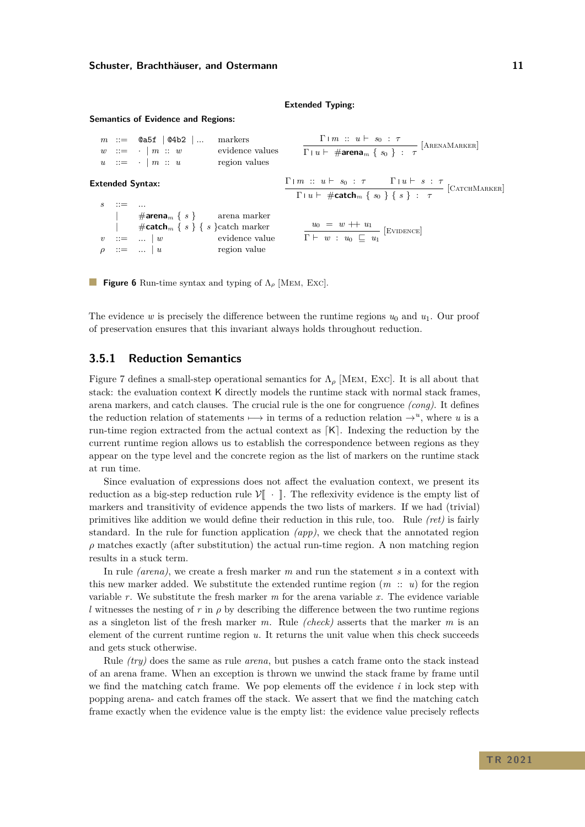#### **Extended Typing:**

#### <span id="page-10-0"></span>**Semantics of Evidence and Regions:**

|  |            | $m ::= \text{Qa5f}   \text{Q4b2}   $<br>$w \ ::= \cdot \mid m :: w$<br>$u \quad ::= \quad \cdot \mid m \ :: \ u$ | markers<br>evidence values<br>region values | $\frac{\Gamma + m :: u \vdash s_0 : \tau}{\Gamma + u \vdash \# \text{arena}_m \{ s_0 \} : \tau} [\text{Arenam}(\text{Area})$                                                                                 |  |
|--|------------|------------------------------------------------------------------------------------------------------------------|---------------------------------------------|--------------------------------------------------------------------------------------------------------------------------------------------------------------------------------------------------------------|--|
|  |            | <b>Extended Syntax:</b>                                                                                          |                                             | $\frac{\Gamma \mid m \ :: \ u \vdash \ s_0 \ : \ \tau \qquad \Gamma \mid u \vdash \ s \ : \ \tau}{\Gamma \mid u \vdash \# \mathsf{catch}_m \ \{\ s_0 \ \} \ \{\ s \ \} \ : \ \ \tau} \ [\text{CATCHMARKER}]$ |  |
|  | $\cdots =$ |                                                                                                                  |                                             |                                                                                                                                                                                                              |  |
|  |            | $\downarrow$ #arena <sub>m</sub> { s } arena marker                                                              |                                             |                                                                                                                                                                                                              |  |
|  |            | #catch <sub>m</sub> { $s$ } { $s$ } catch marker                                                                 |                                             | $\frac{u_0 = w + u_1}{\Gamma \vdash w : u_0 \sqsubseteq u_1}$ [EVIDENCE]                                                                                                                                     |  |
|  |            | $v$ ::=    w evidence value                                                                                      |                                             |                                                                                                                                                                                                              |  |
|  |            | $\mathbf{u} := \mathbf{u} \cdot \mathbf{u}$                                                                      | region value                                |                                                                                                                                                                                                              |  |

**Figure 6** Run-time syntax and typing of Λ*<sup>ρ</sup>* [Mem, Exc].

The evidence *w* is precisely the difference between the runtime regions  $u_0$  and  $u_1$ . Our proof of preservation ensures that this invariant always holds throughout reduction.

### **3.5.1 Reduction Semantics**

Figure [7](#page-11-2) defines a small-step operational semantics for  $\Lambda_\rho$  [MEM, Exc]. It is all about that stack: the evaluation context K directly models the runtime stack with normal stack frames, arena markers, and catch clauses. The crucial rule is the one for congruence *(cong)*. It defines the reduction relation of statements  $\mapsto$  in terms of a reduction relation  $\rightarrow$ <sup>*u*</sup>, where *u* is a run-time region extracted from the actual context as  $[K]$ . Indexing the reduction by the current runtime region allows us to establish the correspondence between regions as they appear on the type level and the concrete region as the list of markers on the runtime stack at run time.

Since evaluation of expressions does not affect the evaluation context, we present its reduction as a big-step reduction rule  $V\llbracket \cdot \rrbracket$ . The reflexivity evidence is the empty list of markers and transitivity of evidence appends the two lists of markers. If we had (trivial) primitives like addition we would define their reduction in this rule, too. Rule *(ret)* is fairly standard. In the rule for function application *(app)*, we check that the annotated region  $\rho$  matches exactly (after substitution) the actual run-time region. A non matching region results in a stuck term.

In rule *(arena)*, we create a fresh marker *m* and run the statement *s* in a context with this new marker added. We substitute the extended runtime region  $(m:: u)$  for the region variable *r*. We substitute the fresh marker *m* for the arena variable *x*. The evidence variable *l* witnesses the nesting of *r* in  $\rho$  by describing the difference between the two runtime regions as a singleton list of the fresh marker *m*. Rule *(check)* asserts that the marker *m* is an element of the current runtime region *u*. It returns the unit value when this check succeeds and gets stuck otherwise.

Rule *(try)* does the same as rule *arena*, but pushes a catch frame onto the stack instead of an arena frame. When an exception is thrown we unwind the stack frame by frame until we find the matching catch frame. We pop elements off the evidence *i* in lock step with popping arena- and catch frames off the stack. We assert that we find the matching catch frame exactly when the evidence value is the empty list: the evidence value precisely reflects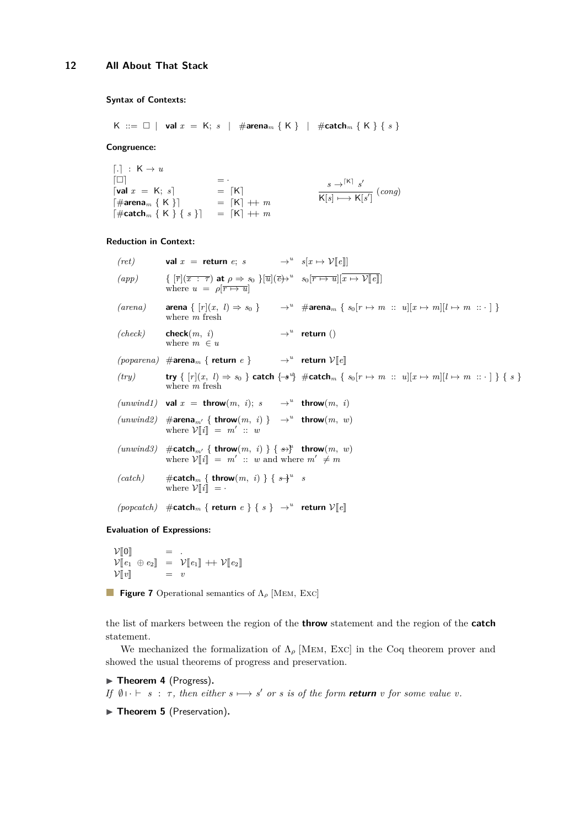# <span id="page-11-2"></span>**Syntax of Contexts:**

$$
\mathsf{K} \ ::= \ \Box \ | \ \ \mathsf{val} \ x \ = \ \mathsf{K}; \ s \ \ | \ \ \# \mathsf{arena}_m \ \{\ \mathsf{K}\ \} \ \ | \ \ \# \mathsf{catch}_m \ \{\ \mathsf{K}\ \} \ \{ \ s \ \}
$$

**Congruence:**

 $\lceil . \rceil$  :  $K \to u$  $\begin{bmatrix} 1 & 1 \\ 1 & 1 \end{bmatrix}$  =  $\cdot$  $\lceil \text{val } x \rceil = K; s \rceil$  $\begin{cases} \n\text{val } x = \text{K}; s \\
 \n\text{H} \text{area}_m \{ \text{K} \} \n\end{cases} = \n\begin{cases} \n\text{K} \n\end{cases}$  $\begin{bmatrix} \# \text{catch}_m \{ K \} \{ s \} \end{bmatrix} = [K] + m$  $s \rightarrow$ <sup>[K]</sup>  $s'$  $\overline{\mathsf{K}[s] \mapsto \mathsf{K}[s']}$  (*cong*)

### **Reduction in Context:**

| $\mathcal{L}(app)$ $\{ [\overline{r}](\overline{x} : \overline{\tau}) \text{ at } \rho \Rightarrow s_0 \} [\overline{u}](\overline{e})^u \quad s_0[\overline{r \mapsto u}](\overline{x} \mapsto \mathcal{V}[\overline{e}])$<br>where $u = \rho[\overline{r \mapsto u}]$<br>(arena)<br><b>arena</b> $\{ [r](x, l) \Rightarrow s_0 \}$ $\rightarrow^u$ # <b>arena</b> $\{ s_0[r \mapsto m :: u][x \mapsto m][l \mapsto m :: \cdot ] \}$<br>where $m$ fresh<br>$(check)$ check $(m, i)$<br>$\rightarrow^u$ return ()<br>where $m \in u$<br>$(poparena)$ #arena <sub>m</sub> { return e } $\longrightarrow$ * return $\mathcal{V}[[e]]$<br>(try) <b>try</b> { $[r](x, l) \Rightarrow s_0$ } <b>catch</b> { $\rightarrow^u$ } # <b>catch</b> <sub>m</sub> { $s_0[r \mapsto m :: u][x \mapsto m][l \mapsto m :: \cdot]$ } { $s$ }<br>where $m$ fresh<br>$(numwind1)$ val $x =$ throw $(m, i); s \rightarrow u$ throw $(m, i)$<br>$(numind2)$ #arena <sub>m'</sub> { throw $(m, i)$ } $\rightarrow^u$ throw $(m, w)$<br>where $V[i] = m' :: w$<br>$(numind3)$ #catch <sub>m'</sub> { throw $(m, i)$ } { $\leftrightarrow^{\mu}$ throw $(m, w)$<br>where $V[i] = m' :: w$ and where $m' \neq m$<br>$(catch)$ #catch <sub>m</sub> { throw $(m, i)$ } { $s\frac{1}{3}u$ s<br>where $V  i   = \cdot$<br>$(popcatch)$ #catch <sub>m</sub> { return e } { s } $\rightarrow^u$ return $\mathcal{V}[[e]]$ | (ret) val $x =$ return $e$ ; $s \rightarrow u \quad s[x \mapsto V[[e]]$ |  |
|--------------------------------------------------------------------------------------------------------------------------------------------------------------------------------------------------------------------------------------------------------------------------------------------------------------------------------------------------------------------------------------------------------------------------------------------------------------------------------------------------------------------------------------------------------------------------------------------------------------------------------------------------------------------------------------------------------------------------------------------------------------------------------------------------------------------------------------------------------------------------------------------------------------------------------------------------------------------------------------------------------------------------------------------------------------------------------------------------------------------------------------------------------------------------------------------------------------------------------------------------------------------------------------------------------------------------------------------------------------------------------------------|-------------------------------------------------------------------------|--|
|                                                                                                                                                                                                                                                                                                                                                                                                                                                                                                                                                                                                                                                                                                                                                                                                                                                                                                                                                                                                                                                                                                                                                                                                                                                                                                                                                                                            |                                                                         |  |
|                                                                                                                                                                                                                                                                                                                                                                                                                                                                                                                                                                                                                                                                                                                                                                                                                                                                                                                                                                                                                                                                                                                                                                                                                                                                                                                                                                                            |                                                                         |  |
|                                                                                                                                                                                                                                                                                                                                                                                                                                                                                                                                                                                                                                                                                                                                                                                                                                                                                                                                                                                                                                                                                                                                                                                                                                                                                                                                                                                            |                                                                         |  |
|                                                                                                                                                                                                                                                                                                                                                                                                                                                                                                                                                                                                                                                                                                                                                                                                                                                                                                                                                                                                                                                                                                                                                                                                                                                                                                                                                                                            |                                                                         |  |
|                                                                                                                                                                                                                                                                                                                                                                                                                                                                                                                                                                                                                                                                                                                                                                                                                                                                                                                                                                                                                                                                                                                                                                                                                                                                                                                                                                                            |                                                                         |  |
|                                                                                                                                                                                                                                                                                                                                                                                                                                                                                                                                                                                                                                                                                                                                                                                                                                                                                                                                                                                                                                                                                                                                                                                                                                                                                                                                                                                            |                                                                         |  |
|                                                                                                                                                                                                                                                                                                                                                                                                                                                                                                                                                                                                                                                                                                                                                                                                                                                                                                                                                                                                                                                                                                                                                                                                                                                                                                                                                                                            |                                                                         |  |
|                                                                                                                                                                                                                                                                                                                                                                                                                                                                                                                                                                                                                                                                                                                                                                                                                                                                                                                                                                                                                                                                                                                                                                                                                                                                                                                                                                                            |                                                                         |  |
|                                                                                                                                                                                                                                                                                                                                                                                                                                                                                                                                                                                                                                                                                                                                                                                                                                                                                                                                                                                                                                                                                                                                                                                                                                                                                                                                                                                            |                                                                         |  |
|                                                                                                                                                                                                                                                                                                                                                                                                                                                                                                                                                                                                                                                                                                                                                                                                                                                                                                                                                                                                                                                                                                                                                                                                                                                                                                                                                                                            |                                                                         |  |

**Evaluation of Expressions:**

 $\mathcal{V}[\![0]\!] \hspace{1cm} = \hspace{1cm} .$ <br> $\mathcal{V}[\![0]\!] \hspace{1cm} = \hspace{1cm} .$  $\mathcal{V}[\![e_1 \oplus e_2]\!] = \mathcal{V}[\![e_1]\!] + \mathcal{V}[\![e_2]\!]$  $\mathcal{V}[\![v]\!]$  = *v* 

**Figure 7** Operational semantics of Λ*<sup>ρ</sup>* [Mem, Exc]

the list of markers between the region of the **throw** statement and the region of the **catch** statement.

We mechanized the formalization of  $\Lambda_{\rho}$  [MEM, Exc] in the Coq theorem prover and showed the usual theorems of progress and preservation.

<span id="page-11-0"></span>▶ Theorem 4 (Progress).

*If*  $\emptyset \cup \vdash s : \tau$ , then either  $s \mapsto s'$  or *s* is of the form **return** *v* for some value *v*.

<span id="page-11-1"></span>▶ Theorem 5 (Preservation).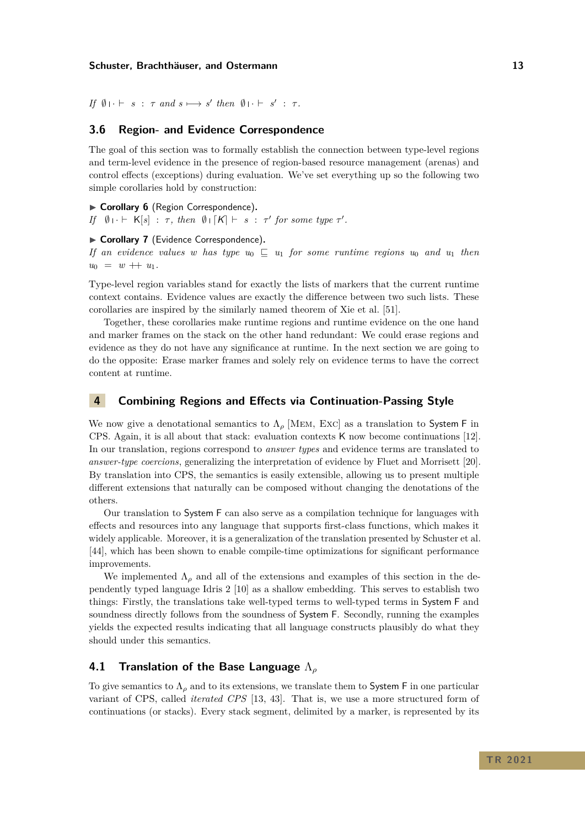$If \emptyset \cup \vdash s : \tau \text{ and } s \longmapsto s' \text{ then } \emptyset \cup \vdash s' : \tau.$ 

# **3.6 Region- and Evidence Correspondence**

The goal of this section was to formally establish the connection between type-level regions and term-level evidence in the presence of region-based resource management (arenas) and control effects (exceptions) during evaluation. We've set everything up so the following two simple corollaries hold by construction:

<span id="page-12-1"></span>▶ Corollary 6 (Region Correspondence). *If*  $\emptyset \cup \vdash K[s] : \tau$ , then  $\emptyset \cup [K] \vdash s : \tau'$  for some type  $\tau'$ .

#### <span id="page-12-2"></span>▶ Corollary 7 (Evidence Correspondence).

*If an evidence values w has type*  $u_0 \subseteq u_1$  *for some runtime regions*  $u_0$  *and*  $u_1$  *then*  $u_0 = w + u_1.$ 

Type-level region variables stand for exactly the lists of markers that the current runtime context contains. Evidence values are exactly the difference between two such lists. These corollaries are inspired by the similarly named theorem of Xie et al. [\[51\]](#page-30-4).

Together, these corollaries make runtime regions and runtime evidence on the one hand and marker frames on the stack on the other hand redundant: We could erase regions and evidence as they do not have any significance at runtime. In the next section we are going to do the opposite: Erase marker frames and solely rely on evidence terms to have the correct content at runtime.

# <span id="page-12-0"></span>**4 Combining Regions and Effects via Continuation-Passing Style**

We now give a denotational semantics to  $\Lambda_{\rho}$  [MEM, Exc] as a translation to System F in CPS. Again, it is all about that stack: evaluation contexts K now become continuations [\[12\]](#page-27-4). In our translation, regions correspond to *answer types* and evidence terms are translated to *answer-type coercions*, generalizing the interpretation of evidence by Fluet and Morrisett [\[20\]](#page-28-1). By translation into CPS, the semantics is easily extensible, allowing us to present multiple different extensions that naturally can be composed without changing the denotations of the others.

Our translation to System F can also serve as a compilation technique for languages with effects and resources into any language that supports first-class functions, which makes it widely applicable. Moreover, it is a generalization of the translation presented by Schuster et al. [\[44\]](#page-29-5), which has been shown to enable compile-time optimizations for significant performance improvements.

We implemented  $\Lambda_{\rho}$  and all of the extensions and examples of this section in the dependently typed language Idris 2 [\[10\]](#page-27-5) as a shallow embedding. This serves to establish two things: Firstly, the translations take well-typed terms to well-typed terms in System F and soundness directly follows from the soundness of System F. Secondly, running the examples yields the expected results indicating that all language constructs plausibly do what they should under this semantics.

# **4.1 Translation of the Base Language** Λ*<sup>ρ</sup>*

To give semantics to  $\Lambda_{\rho}$  and to its extensions, we translate them to System F in one particular variant of CPS, called *iterated CPS* [\[13,](#page-27-0) [43\]](#page-29-6). That is, we use a more structured form of continuations (or stacks). Every stack segment, delimited by a marker, is represented by its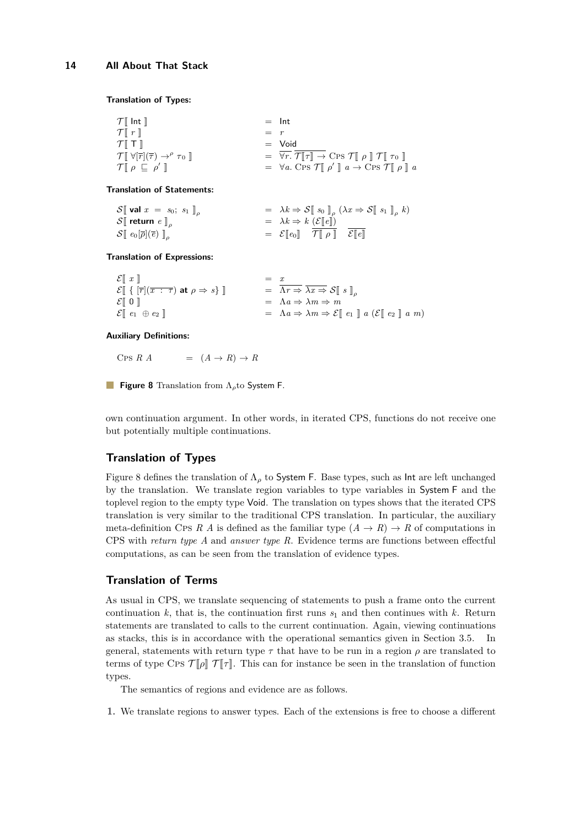<span id="page-13-0"></span>**Translation of Types:**

| $\mathcal{T}$ Int $\mathbb{I}$                                                                        |         | $=$ Int                                                                                                                                                                                                         |
|-------------------------------------------------------------------------------------------------------|---------|-----------------------------------------------------------------------------------------------------------------------------------------------------------------------------------------------------------------|
| $\mathcal{T} \llbracket r \rrbracket$                                                                 | $=$ $r$ |                                                                                                                                                                                                                 |
| $\mathcal{T}$ $\mathbb{T}$ $\mathbb{T}$                                                               |         | $=$ Void                                                                                                                                                                                                        |
| $\mathcal{T} \llbracket \forall [\overline{r}](\overline{\tau}) \rightarrow^{\rho} \tau_0 \rrbracket$ |         | $= \overline{\forall r}$ . $\overline{\mathcal{T}} \overline{\Vert \tau \Vert} \rightarrow \text{Cps } \mathcal{T} \overline{\Vert} \rho \overline{\Vert} \mathcal{T} \overline{\Vert} \tau_0 \overline{\Vert}$ |
| $\mathcal{T} \llbracket \rho \sqsubseteq \rho' \rrbracket$                                            |         | $= \forall a. \text{ Cps } \mathcal{T} \llbracket \rho' \rrbracket a \rightarrow \text{ Cps } \mathcal{T} \llbracket \rho \rrbracket a$                                                                         |
|                                                                                                       |         |                                                                                                                                                                                                                 |

#### **Translation of Statements:**

| $\mathcal{S}$ val $x = s_0; s_1$                               | $= \lambda k \Rightarrow \mathcal{S} \llbracket s_0 \rrbracket_o (\lambda x \Rightarrow \mathcal{S} \llbracket s_1 \rrbracket_o k)$ |  |
|----------------------------------------------------------------|-------------------------------------------------------------------------------------------------------------------------------------|--|
| $\mathcal{S} \llbracket$ return $e \rrbracket_o$               | $= \lambda k \Rightarrow k \ (\mathcal{E} \ e\ )$                                                                                   |  |
| $\mathcal{S}[\![\; e_0[\overline{\rho}](\overline{e})\;]\!]_o$ | $= \mathcal{E}[[e_0]] \mathcal{T}[[\rho]] \mathcal{E}[[e]]$                                                                         |  |

**Translation of Expressions:**

| $\mathcal{E} \llbracket x \rrbracket$                                                                                   | $= x$                                                                                                                               |
|-------------------------------------------------------------------------------------------------------------------------|-------------------------------------------------------------------------------------------------------------------------------------|
| $\mathcal{E} \llbracket \{ \vert \overline{r} \vert (\overline{x} : \tau) \text{ at } \rho \Rightarrow s \} \rrbracket$ | $= \Lambda r \Rightarrow \lambda x \Rightarrow \mathcal{S} [\![ s ]\!]_o$                                                           |
| $\mathcal{E}[\mathbb{0}]$                                                                                               | $= \Lambda a \Rightarrow \lambda m \Rightarrow m$                                                                                   |
| $\mathcal{E} \llbracket e_1 \oplus e_2 \rrbracket$                                                                      | $= \Lambda a \Rightarrow \lambda m \Rightarrow \mathcal{E} \llbracket e_1 \rrbracket a (\mathcal{E} \llbracket e_2 \rrbracket a m)$ |
|                                                                                                                         |                                                                                                                                     |

#### **Auxiliary Definitions:**

Cps *R*  $A$  =  $(A \rightarrow R) \rightarrow R$ 

**Figure 8** Translation from Λ*ρ*to System F.

own continuation argument. In other words, in iterated CPS, functions do not receive one but potentially multiple continuations.

# **Translation of Types**

Figure [8](#page-13-0) defines the translation of  $\Lambda_{\rho}$  to System F. Base types, such as Int are left unchanged by the translation. We translate region variables to type variables in System F and the toplevel region to the empty type Void. The translation on types shows that the iterated CPS translation is very similar to the traditional CPS translation. In particular, the auxiliary meta-definition CPs *R A* is defined as the familiar type  $(A \rightarrow R) \rightarrow R$  of computations in CPS with *return type A* and *answer type R*. Evidence terms are functions between effectful computations, as can be seen from the translation of evidence types.

# **Translation of Terms**

As usual in CPS, we translate sequencing of statements to push a frame onto the current continuation  $k$ , that is, the continuation first runs  $s<sub>1</sub>$  and then continues with  $k$ . Return statements are translated to calls to the current continuation. Again, viewing continuations as stacks, this is in accordance with the operational semantics given in Section [3.5.](#page-9-1) In general, statements with return type  $\tau$  that have to be run in a region  $\rho$  are translated to terms of type Cps  $\mathcal{T}[\![\rho]\!]$   $\mathcal{T}[\![\tau]\!]$ . This can for instance be seen in the translation of function types.

The semantics of regions and evidence are as follows.

**1.** We translate regions to answer types. Each of the extensions is free to choose a different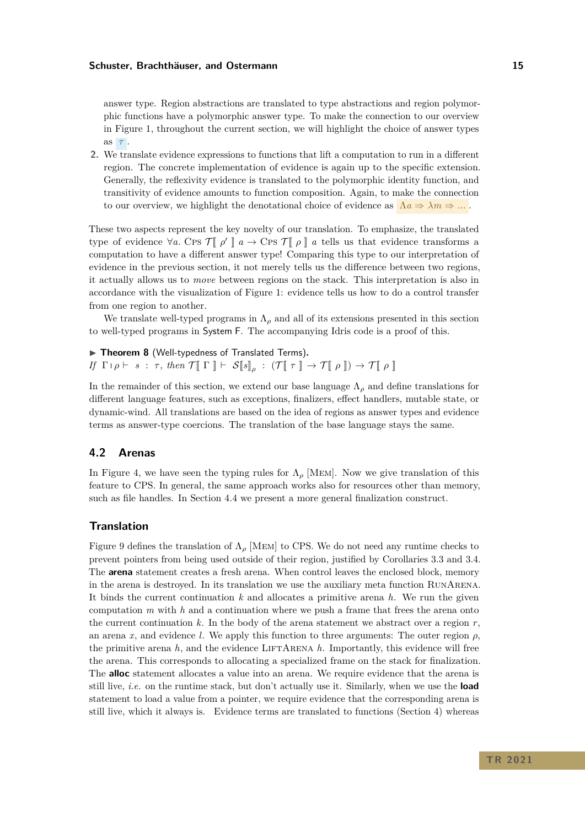answer type. Region abstractions are translated to type abstractions and region polymorphic functions have a polymorphic answer type. To make the connection to our overview in Figure [1,](#page-0-0) throughout the current section, we will highlight the choice of answer types as *τ* .

**2.** We translate evidence expressions to functions that lift a computation to run in a different region. The concrete implementation of evidence is again up to the specific extension. Generally, the reflexivity evidence is translated to the polymorphic identity function, and transitivity of evidence amounts to function composition. Again, to make the connection to our overview, we highlight the denotational choice of evidence as  $\Lambda a \Rightarrow \lambda m \Rightarrow \dots$ 

These two aspects represent the key novelty of our translation. To emphasize, the translated type of evidence  $\forall a$ *.* Cps  $\mathcal{T} [\![\rho'\!] \mid a \to \text{Cps } \mathcal{T} [\![\rho\!] \mid a$  tells us that evidence transforms a<br>computation to have a different approximation this time to surjete protection of computation to have a different answer type! Comparing this type to our interpretation of evidence in the previous section, it not merely tells us the difference between two regions, it actually allows us to *move* between regions on the stack. This interpretation is also in accordance with the visualization of Figure [1:](#page-0-0) evidence tells us how to do a control transfer from one region to another.

We translate well-typed programs in  $\Lambda_{\rho}$  and all of its extensions presented in this section to well-typed programs in System F. The accompanying Idris code is a proof of this.

▶ Theorem 8 (Well-typedness of Translated Terms). *If*  $\Gamma \rho \vdash s : \tau$ , then  $\mathcal{T} \llbracket \Gamma \rrbracket \vdash \mathcal{S} \llbracket s \rrbracket_{\rho} : (\mathcal{T} \llbracket \tau \rrbracket \to \mathcal{T} \llbracket \rho \rrbracket) \to \mathcal{T} \llbracket \rho \rrbracket$ 

In the remainder of this section, we extend our base language  $\Lambda_{\rho}$  and define translations for different language features, such as exceptions, finalizers, effect handlers, mutable state, or dynamic-wind. All translations are based on the idea of regions as answer types and evidence terms as answer-type coercions. The translation of the base language stays the same.

# <span id="page-14-0"></span>**4.2 Arenas**

In Figure [4,](#page-8-0) we have seen the typing rules for  $\Lambda_{\rho}$  [MEM]. Now we give translation of this feature to CPS. In general, the same approach works also for resources other than memory, such as file handles. In Section [4.4](#page-17-0) we present a more general finalization construct.

### **Translation**

Figure [9](#page-15-0) defines the translation of  $\Lambda_{\rho}$  [MEM] to CPS. We do not need any runtime checks to prevent pointers from being used outside of their region, justified by Corollaries [3.3](#page-12-1) and [3.4.](#page-12-2) The **arena** statement creates a fresh arena. When control leaves the enclosed block, memory in the arena is destroyed. In its translation we use the auxiliary meta function RunArena. It binds the current continuation *k* and allocates a primitive arena *h*. We run the given computation  $m$  with  $h$  and a continuation where we push a frame that frees the arena onto the current continuation  $k$ . In the body of the arena statement we abstract over a region  $r$ , an arena *x*, and evidence *l*. We apply this function to three arguments: The outer region  $\rho$ , the primitive arena  $h$ , and the evidence LIFTARENA  $h$ . Importantly, this evidence will free the arena. This corresponds to allocating a specialized frame on the stack for finalization. The **alloc** statement allocates a value into an arena. We require evidence that the arena is still live, *i.e.* on the runtime stack, but don't actually use it. Similarly, when we use the **load** statement to load a value from a pointer, we require evidence that the corresponding arena is still live, which it always is. Evidence terms are translated to functions (Section [4\)](#page-12-0) whereas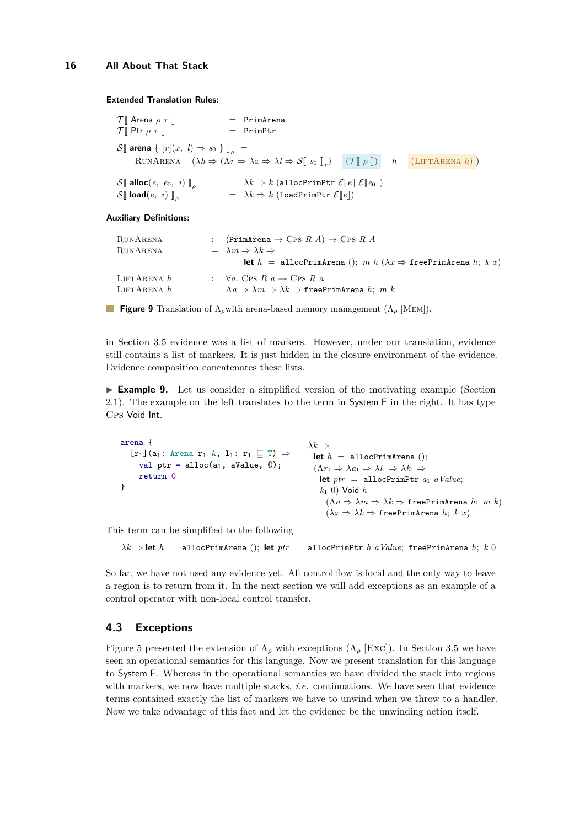<span id="page-15-0"></span>**Extended Translation Rules:**

 $\begin{array}{rcl} \mathcal{T} \llbracket \text{ Arena } \rho \ \tau \rrbracket \hspace{1.5cm} & = & \text{PrimArea} \\ \mathcal{T} \llbracket \text{ Ptr } \rho \ \tau \rrbracket \hspace{1.5cm} & = & \text{PrimPtr} \end{array}$  $\mathcal{T} \llbracket \text{Ptr } \rho \tau \rrbracket$  $\mathcal{S}$  arena {  $[r](x, l) \Rightarrow s_0$  }  $\mathbb{I}_{\alpha}$  =  $\text{RUNARENA} \quad (\lambda h \Rightarrow (\Lambda r \Rightarrow \lambda x \Rightarrow \lambda l \Rightarrow \mathcal{S} \llbracket s_0 \rrbracket_r) \quad (\mathcal{T} \llbracket \rho \rrbracket) \quad h \quad (\text{LIFTARENA } h)$  $\begin{array}{rcl} \mathcal{S} \llbracket \ \mathsf{alloc}(e, \ e_0, \ i) \rrbracket_{\rho} & = & \lambda k \Rightarrow k \ (\mathtt{allocPrimPtr} \ \mathcal{E} \llbracket e \rrbracket \ \mathcal{E} \llbracket e_0 \rrbracket) \\ \mathcal{S} \llbracket \ \mathsf{load}(e, \ i) \rrbracket_{\rho} & = & \lambda k \Rightarrow k \ (\mathtt{loadPrimPtr} \ \mathcal{E} \llbracket e \rrbracket) \end{array}$  $\lambda k \Rightarrow k \text{ (loadPrimPtr } \mathcal{E}[\![e]\!])$ 

**Auxiliary Definitions:**

 $RUNARENA$  :  $(PrimArea \rightarrow CPS \ R \ A) \rightarrow CPS \ R \ A$ RUNARENA =  $\lambda m \Rightarrow \lambda k \Rightarrow$ **let**  $h = \text{allocPrimArea}$  ();  $m h (\lambda x \Rightarrow \text{freePrimArea} h; k x)$ LIFTARENA  $h$  :  $\forall a.$  Cps  $R$   $a \rightarrow$  Cps  $R$   $a$ LIFTARENA *h* =  $\Lambda a \Rightarrow \lambda m \Rightarrow \lambda k \Rightarrow$  freePrimArena *h*; *m k* 

**Figure 9** Translation of Λ*ρ*with arena-based memory management (Λ*<sup>ρ</sup>* [Mem]).

in Section [3.5](#page-9-1) evidence was a list of markers. However, under our translation, evidence still contains a list of markers. It is just hidden in the closure environment of the evidence. Evidence composition concatenates these lists.

**Example 9.** Let us consider a simplified version of the motivating example (Section [2.1\)](#page-2-0). The example on the left translates to the term in System F in the right. It has type Cps Void Int.

```
arena {
   [r_1](a_1: Arena r_1 A, l_1: r_1 \subseteq T) \Rightarrowval ptr = alloc(a_1, aValue, 0);return 0
}
                                                                  λk \Rightarrowlet h = \text{allocPrimArea} ();
                                                                   (\Lambda r_1 \Rightarrow \lambda a_1 \Rightarrow \lambda l_1 \Rightarrow \lambda k_1 \Rightarrowlet ptr = allocPrimPtr a_1 aValue;
                                                                      k1 0) Void h
                                                                        (Λa ⇒ λm ⇒ λk ⇒ freePrimArena h; m k)
                                                                        (\lambda x \Rightarrow \lambda k \Rightarrow \text{freePrimArea } h; k x)
```
This term can be simplified to the following

*λk* ⇒ **let** *h* = allocPrimArena (); **let** *ptr* = allocPrimPtr *h aValue*; freePrimArena *h*; *k* 0

So far, we have not used any evidence yet. All control flow is local and the only way to leave a region is to return from it. In the next section we will add exceptions as an example of a control operator with non-local control transfer.

# <span id="page-15-1"></span>**4.3 Exceptions**

Figure [5](#page-9-0) presented the extension of  $\Lambda_{\rho}$  with exceptions ( $\Lambda_{\rho}$  [Exc]). In Section [3.5](#page-9-1) we have seen an operational semantics for this language. Now we present translation for this language to System F. Whereas in the operational semantics we have divided the stack into regions with markers, we now have multiple stacks, *i.e.* continuations. We have seen that evidence terms contained exactly the list of markers we have to unwind when we throw to a handler. Now we take advantage of this fact and let the evidence be the unwinding action itself.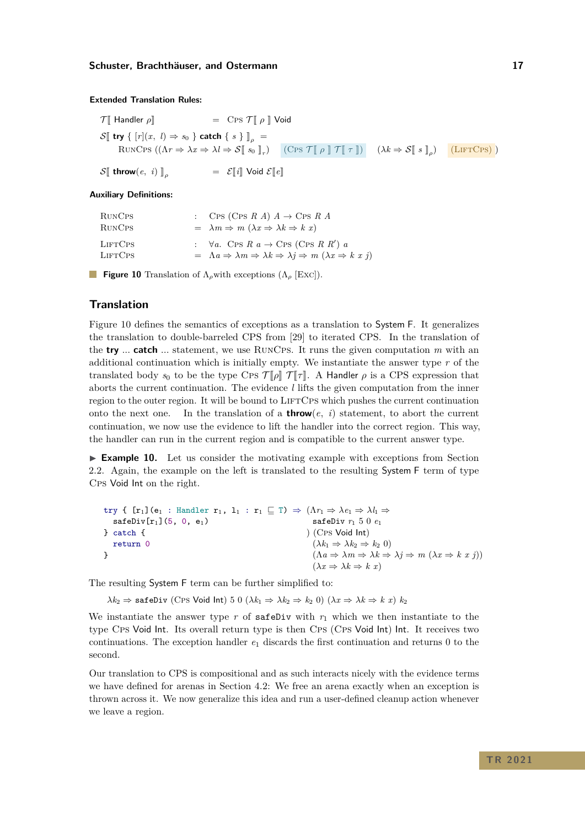#### <span id="page-16-0"></span>**Extended Translation Rules:**

| $\mathcal{T}$ Handler $\rho$                                                | $=$ C <sub>PS</sub> $\mathcal{T} \llbracket \rho \rrbracket$ Void                        |                                                                                                                                                                        |               |
|-----------------------------------------------------------------------------|------------------------------------------------------------------------------------------|------------------------------------------------------------------------------------------------------------------------------------------------------------------------|---------------|
| $\mathcal{S}$ try { $[r](x, l) \Rightarrow s_0$ } catch { $s$ } $\big]_o =$ |                                                                                          |                                                                                                                                                                        |               |
|                                                                             | RUNCPS $((\Lambda r \Rightarrow \lambda x \Rightarrow \lambda l \Rightarrow S[[s_0]]_r)$ | $(\text{Cps } \mathcal{T} \llbracket \rho \rrbracket \mathcal{T} \llbracket \tau \rrbracket) \quad (\lambda k \Rightarrow \mathcal{S} \llbracket s \rrbracket_{\rho})$ | $(LIFTCPS)$ ) |
| $\mathcal{S}[\![$ throw $(e, i)]\!]_{\rho}$                                 | $\mathcal{E}[\![i]\!]$ Void $\mathcal{E}[\![e]\!]$                                       |                                                                                                                                                                        |               |

#### **Auxiliary Definitions:**

| RUNC <sub>PS</sub><br>RUNC <sub>PS</sub> | : CPS (CPS R A) $A \rightarrow$ CPS R A<br>$= \lambda m \Rightarrow m (\lambda x \Rightarrow \lambda k \Rightarrow k x)$                                                              |
|------------------------------------------|---------------------------------------------------------------------------------------------------------------------------------------------------------------------------------------|
| <b>LIFTCPS</b><br><b>LIFTCPS</b>         | : $\forall a$ . Cps R $a \rightarrow$ Cps (Cps R R') a<br>$= \Lambda a \Rightarrow \lambda m \Rightarrow \lambda k \Rightarrow \lambda j \Rightarrow m (\lambda x \Rightarrow k x j)$ |

**Figure 10** Translation of Λ*ρ*with exceptions (Λ*<sup>ρ</sup>* [Exc]).

## **Translation**

Figure [10](#page-16-0) defines the semantics of exceptions as a translation to System F. It generalizes the translation to double-barreled CPS from [\[29\]](#page-28-3) to iterated CPS. In the translation of the **try** *...* **catch** *...* statement, we use RunCps. It runs the given computation *m* with an additional continuation which is initially empty. We instantiate the answer type *r* of the translated body  $s_0$  to be the type CPS  $\mathcal{T}[\rho]\mathcal{T}[\tau]$ . A Handler  $\rho$  is a CPS expression that aborts the current continuation. The evidence *l* lifts the given computation from the inner region to the outer region. It will be bound to LIFTCPS which pushes the current continuation onto the next one. In the translation of a **throw**(*e*, *i*) statement, to abort the current continuation, we now use the evidence to lift the handler into the correct region. This way, the handler can run in the current region and is compatible to the current answer type.

► **Example 10.** Let us consider the motivating example with exceptions from Section [2.2.](#page-3-0) Again, the example on the left is translated to the resulting System F term of type Cps Void Int on the right.

| try { $[r_1](e_1 : \text{Handler } r_1, 1_1 : r_1 \sqsubseteq T) \Rightarrow (\Lambda r_1 \Rightarrow \lambda e_1 \Rightarrow \lambda l_1 \Rightarrow$ |                                                                                                                             |
|--------------------------------------------------------------------------------------------------------------------------------------------------------|-----------------------------------------------------------------------------------------------------------------------------|
| $s$ afeDiv $[r_1]$ (5, 0, e <sub>1</sub> )                                                                                                             | safeDiv $r_1$ 50 $e_1$                                                                                                      |
| l catch {                                                                                                                                              | (CPS Void Int)                                                                                                              |
| return 0                                                                                                                                               | $(\lambda k_1 \Rightarrow \lambda k_2 \Rightarrow k_2 0)$                                                                   |
|                                                                                                                                                        | $(\Lambda a \Rightarrow \lambda m \Rightarrow \lambda k \Rightarrow \lambda j \Rightarrow m (\lambda x \Rightarrow k x j))$ |
|                                                                                                                                                        | $(\lambda x \Rightarrow \lambda k \Rightarrow k x)$                                                                         |

The resulting System F term can be further simplified to:

 $\lambda k_2 \Rightarrow$  safeDiv (Cps Void Int) 5 0 ( $\lambda k_1 \Rightarrow \lambda k_2 \Rightarrow k_2$  0) ( $\lambda x \Rightarrow \lambda k \Rightarrow k x$ )  $k_2$ 

We instantiate the answer type  $r$  of safeDiv with  $r_1$  which we then instantiate to the type Cps Void Int. Its overall return type is then Cps (Cps Void Int) Int. It receives two continuations. The exception handler  $e_1$  discards the first continuation and returns 0 to the second.

Our translation to CPS is compositional and as such interacts nicely with the evidence terms we have defined for arenas in Section [4.2:](#page-14-0) We free an arena exactly when an exception is thrown across it. We now generalize this idea and run a user-defined cleanup action whenever we leave a region.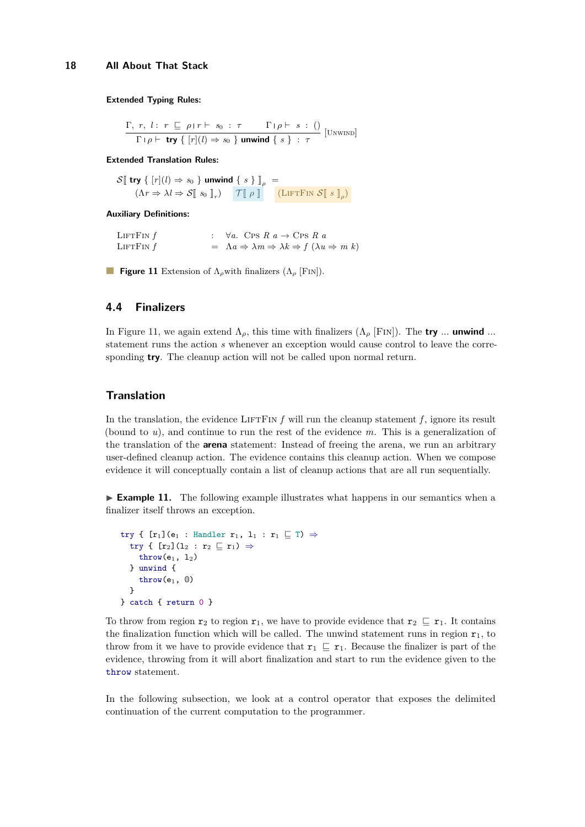<span id="page-17-1"></span> $Γ, r, l: r ⊡ ρ$ ι $r ⊢ s<sub>0</sub>: τ$  Γι $ρ ⊢ s: ()$  $\frac{1}{\Gamma} \left[ \rho \vdash \text{try} \{ [r](l) \Rightarrow s_0 \} \text{ unwind} \{ s \} : \tau \right]$  [UNWIND]

#### **Extended Translation Rules:**

```
\mathcal{S}[ try { [r](l) \Rightarrow s_0 } unwind { s } ]<sub>\rho</sub> =
         (\Lambda r \Rightarrow \lambda l \Rightarrow S[ s<sub>0</sub> ]_r) \qquad \mathcal{T}[p] \qquad \qquad (\text{LIFTFin }S[ s ]_p)
```
**Auxiliary Definitions:**

LIFTFIN  $f$  :  $\forall a$ . Cps  $R \neq a \rightarrow \text{Cps } R \neq a$ LIFTFIN *f*  $= \Lambda a \Rightarrow \lambda m \Rightarrow \lambda k \Rightarrow f(\lambda u \Rightarrow m k)$ 

**Figure 11** Extension of Λ*ρ*with finalizers (Λ*<sup>ρ</sup>* [Fin]).

#### <span id="page-17-0"></span>**4.4 Finalizers**

In Figure [11,](#page-17-1) we again extend  $\Lambda_{\rho}$ , this time with finalizers  $(\Lambda_{\rho}$  [FIN]). The **try** ... **unwind** ... statement runs the action *s* whenever an exception would cause control to leave the corresponding **try**. The cleanup action will not be called upon normal return.

# **Translation**

In the translation, the evidence LIFTFIN  $f$  will run the cleanup statement  $f$ , ignore its result (bound to *u*), and continue to run the rest of the evidence *m*. This is a generalization of the translation of the **arena** statement: Instead of freeing the arena, we run an arbitrary user-defined cleanup action. The evidence contains this cleanup action. When we compose evidence it will conceptually contain a list of cleanup actions that are all run sequentially.

 $\triangleright$  **Example 11.** The following example illustrates what happens in our semantics when a finalizer itself throws an exception.

```
try { [r_1](e_1 : \text{Handler } r_1, 1_1 : r_1 \sqsubseteq T) \Rightarrowtry { [r_2](1_2 : r_2 \sqsubseteq r_1) \Rightarrow\text{throw}(e_1, 1_2)} unwind {
      throw(e_1, 0)}
} catch { return 0 }
```
To throw from region  $r_2$  to region  $r_1$ , we have to provide evidence that  $r_2 \subseteq r_1$ . It contains the finalization function which will be called. The unwind statement runs in region  $r_1$ , to throw from it we have to provide evidence that  $r_1 \subseteq r_1$ . Because the finalizer is part of the evidence, throwing from it will abort finalization and start to run the evidence given to the throw statement.

In the following subsection, we look at a control operator that exposes the delimited continuation of the current computation to the programmer.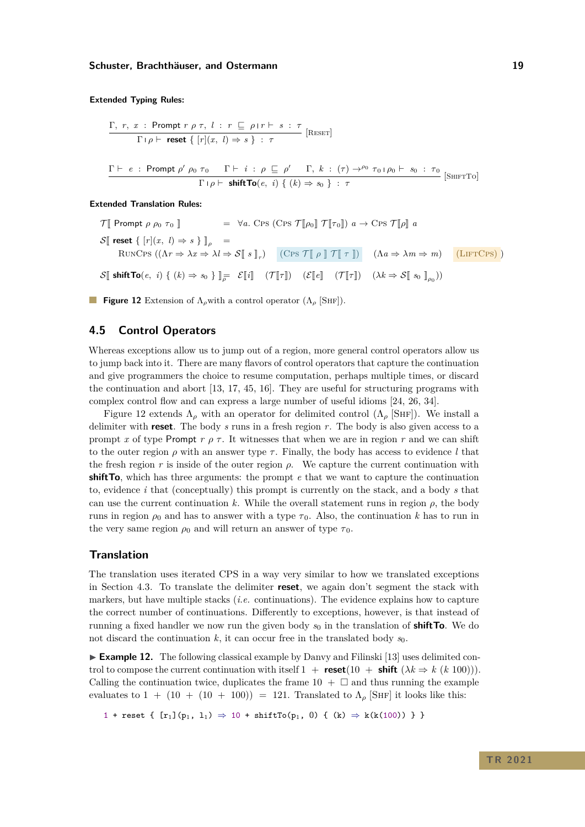<span id="page-18-0"></span>
$$
\frac{\Gamma, r, x : \text{ Prompt } r \rho \tau, l : r \subseteq \rho | r \vdash s : \tau}{\Gamma | \rho \vdash \text{reset} \{ [r](x, l) \Rightarrow s \} : \tau} [\text{Reser}]
$$
\n
$$
\frac{\Gamma \vdash e : \text{ Prompt } \rho' \rho_0 \tau_0 \quad \Gamma \vdash i : \rho \subseteq \rho' \quad \Gamma, k : (\tau) \to^{\rho_0} \tau_0 | \rho_0 \vdash s_0 : \tau_0}{\Gamma | \rho \vdash \text{shiftTo}(e, i) \{ (k) \Rightarrow s_0 \} : \tau} [\text{SHIFTTo}]
$$

**Extended Translation Rules:**

 $\mathcal{T}$  Prompt  $\rho$   $\rho_0$   $\tau_0$   $\parallel$  =  $\forall a$ . Cps  $\mathcal{T}$   $\rho_0$   $\mathcal{T}$   $\tau_0$   $\rho$   $a \to \text{Cps } \mathcal{T}$   $\rho$   $a$  $\mathcal{S}$ **[** reset {  $[r](x, l) \Rightarrow s$  } **]**<sub> $o$ </sub> = RUNCPS  $((\Lambda r \Rightarrow \lambda x \Rightarrow \lambda l \Rightarrow S \mathbb{F} s \mathbb{F}_r)$   $(CPS T \mathbb{F} \rho \mathbb{F} T \mathbb{F} \tau \mathbb{F})$   $(\Lambda a \Rightarrow \lambda m \Rightarrow m)$   $(LIFTCPS)$  $\mathcal{S}[\![\text{ shiftTo}(e, i) \set (k) \Rightarrow s_0 \}]_{\overline{\rho}} = \mathcal{E}[\![i]\!] \quad (\mathcal{T}[\![\tau]\!]) \quad (\mathcal{E}[\![e]\!]\!] \quad (\mathcal{T}[\![\tau]\!]) \quad (\lambda k \Rightarrow \mathcal{S}[\![\;s_0\;]\!]_{\rho_0}))$ 

**Figure 12** Extension of Λ*ρ*with a control operator (Λ*<sup>ρ</sup>* [Shf]).

### **4.5 Control Operators**

Whereas exceptions allow us to jump out of a region, more general control operators allow us to jump back into it. There are many flavors of control operators that capture the continuation and give programmers the choice to resume computation, perhaps multiple times, or discard the continuation and abort [\[13,](#page-27-0) [17,](#page-28-4) [45,](#page-29-7) [16\]](#page-28-5). They are useful for structuring programs with complex control flow and can express a large number of useful idioms [\[24,](#page-28-6) [26,](#page-28-7) [34\]](#page-29-8).

Figure [12](#page-18-0) extends  $\Lambda_{\rho}$  with an operator for delimited control  $(\Lambda_{\rho}$  [SHF]). We install a delimiter with **reset**. The body *s* runs in a fresh region *r*. The body is also given access to a prompt *x* of type Prompt  $r \rho \tau$ . It witnesses that when we are in region  $r$  and we can shift to the outer region *ρ* with an answer type *τ* . Finally, the body has access to evidence *l* that the fresh region  $r$  is inside of the outer region  $\rho$ . We capture the current continuation with **shiftTo**, which has three arguments: the prompt *e* that we want to capture the continuation to, evidence *i* that (conceptually) this prompt is currently on the stack, and a body *s* that can use the current continuation k. While the overall statement runs in region  $\rho$ , the body runs in region  $\rho_0$  and has to answer with a type  $\tau_0$ . Also, the continuation *k* has to run in the very same region  $\rho_0$  and will return an answer of type  $\tau_0$ .

### **Translation**

The translation uses iterated CPS in a way very similar to how we translated exceptions in Section [4.3.](#page-15-1) To translate the delimiter **reset**, we again don't segment the stack with markers, but have multiple stacks (*i.e.* continuations). The evidence explains how to capture the correct number of continuations. Differently to exceptions, however, is that instead of running a fixed handler we now run the given body  $s_0$  in the translation of **shift To**. We do not discard the continuation  $k$ , it can occur free in the translated body  $s_0$ .

► **Example 12.** The following classical example by Danvy and Filinski [\[13\]](#page-27-0) uses delimited control to compose the current continuation with itself  $1 + \text{reset}(10 + \text{shift}(\lambda k \Rightarrow k (k 100)))$ . Calling the continuation twice, duplicates the frame  $10 + \Box$  and thus running the example evaluates to  $1 + (10 + (10 + 100)) = 121$ . Translated to  $\Lambda_{\rho}$  [SHF] it looks like this:

1 + reset {  $[r_1](p_1, 1_1) \Rightarrow 10 + shiftTo(p_1, 0)$  {  $(k) \Rightarrow k(k(100))$  } }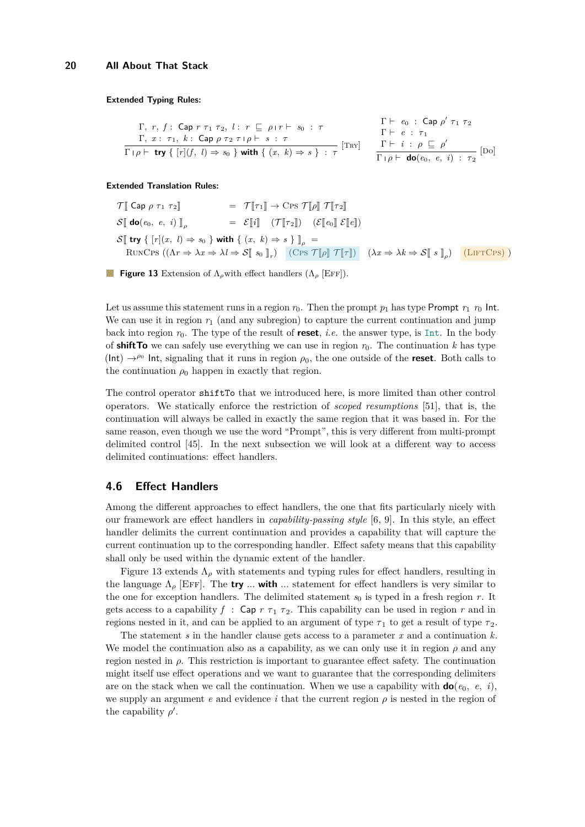<span id="page-19-0"></span>
$$
\begin{array}{c}\n\Gamma, r, f: \text{Cap } r \tau_1 \tau_2, l: r \subseteq \rho \text{ If } s_0 : \tau \\
\Gamma, x: \tau_1, k: \text{Cap } \rho \tau_2 \tau \text{ if } s: \tau \\
\hline\n\Gamma \text{ then } \text{try } \{ [r](f, l) \Rightarrow s_0 \} \text{ with } \{ (x, k) \Rightarrow s \} : \tau\n\end{array}\n\quad\n\begin{array}{c}\n\Gamma \vdash e_0: \text{Cap } \rho' \tau_1 \tau_2 \\
\Gamma \vdash e: \tau_1 \\
\hline\n\Gamma \vdash p \vdash \text{do}(e_0, e, i): \tau_2\n\end{array}\n\quad\n\begin{array}{c}\n\Gamma \vdash e_0: \text{Cap } \rho' \tau_1 \tau_2 \\
\Gamma \vdash e: \tau_1 \\
\hline\n\Gamma \vdash p \vdash \text{do}(e_0, e, i): \tau_2\n\end{array}
$$

#### **Extended Translation Rules:**

$$
\mathcal{T}[\![ \text{ Cap } \rho \tau_1 \tau_2 ]\!] = \mathcal{T}[\![ \tau_1 ]\!] \rightarrow \text{Cps } \mathcal{T}[\![ \rho ]\!] \mathcal{T}[\![ \tau_2 ]\!]
$$
\n
$$
\mathcal{S}[\![ \text{ do}(e_0, e, i) ]\!]_{\rho} = \mathcal{E}[\![ i ]\!] \quad (\mathcal{T}[\![ \tau_2 ]\!]) \quad (\mathcal{E}[\![ e_0 ]\!] \mathcal{E}[\![ e ]\!])
$$
\n
$$
\mathcal{S}[\![ \text{ try } \{ [r](x, l) \Rightarrow s_0 \} \text{ with } \{ (x, k) \Rightarrow s \} ]\!]_{\rho} =
$$
\n
$$
\text{RUNCps } ((\Lambda r \Rightarrow \lambda x \Rightarrow \lambda l \Rightarrow \mathcal{S}[\![ \text{ so } ]\!]_{r}) \quad (\text{Cps } \mathcal{T}[\![ \rho ]\!] \mathcal{T}[\![ \tau ]\!]) \quad (\lambda x \Rightarrow \lambda k \Rightarrow \mathcal{S}[\![ \text{ s } ]\!]_{\rho}) \quad (\text{LIFTCPS})
$$

**Figure 13** Extension of Λ*ρ*with effect handlers (Λ*<sup>ρ</sup>* [Eff]).

Let us assume this statement runs in a region  $r_0$ . Then the prompt  $p_1$  has type Prompt  $r_1$   $r_0$  Int. We can use it in region  $r_1$  (and any subregion) to capture the current continuation and jump back into region  $r_0$ . The type of the result of **reset**, *i.e.* the answer type, is Int. In the body of **shift To** we can safely use everything we can use in region  $r_0$ . The continuation k has type  $(Int) \rightarrow^{\rho_0}$  Int, signaling that it runs in region  $\rho_0$ , the one outside of the **reset**. Both calls to the continuation  $\rho_0$  happen in exactly that region.

The control operator shiftTo that we introduced here, is more limited than other control operators. We statically enforce the restriction of *scoped resumptions* [\[51\]](#page-30-4), that is, the continuation will always be called in exactly the same region that it was based in. For the same reason, even though we use the word "Prompt", this is very different from multi-prompt delimited control [\[45\]](#page-29-7). In the next subsection we will look at a different way to access delimited continuations: effect handlers.

#### <span id="page-19-1"></span>**4.6 Effect Handlers**

Among the different approaches to effect handlers, the one that fits particularly nicely with our framework are effect handlers in *capability-passing style* [\[6,](#page-27-6) [9\]](#page-27-2). In this style, an effect handler delimits the current continuation and provides a capability that will capture the current continuation up to the corresponding handler. Effect safety means that this capability shall only be used within the dynamic extent of the handler.

Figure [13](#page-19-0) extends  $\Lambda_{\rho}$  with statements and typing rules for effect handlers, resulting in the language  $\Lambda_{\rho}$  [EFF]. The **try**  $\ldots$  with  $\ldots$  statement for effect handlers is very similar to the one for exception handlers. The delimited statement  $s_0$  is typed in a fresh region  $r$ . It gets access to a capability  $f : \mathsf{Cap} \ r \ \tau_1 \ \tau_2$ . This capability can be used in region  $r$  and in regions nested in it, and can be applied to an argument of type  $\tau_1$  to get a result of type  $\tau_2$ .

The statement *s* in the handler clause gets access to a parameter *x* and a continuation *k*. We model the continuation also as a capability, as we can only use it in region  $\rho$  and any region nested in *ρ*. This restriction is important to guarantee effect safety. The continuation might itself use effect operations and we want to guarantee that the corresponding delimiters are on the stack when we call the continuation. When we use a capability with  $\mathbf{do}(e_0, e, i)$ , we supply an argument  $e$  and evidence  $i$  that the current region  $\rho$  is nested in the region of the capability  $\rho'$ .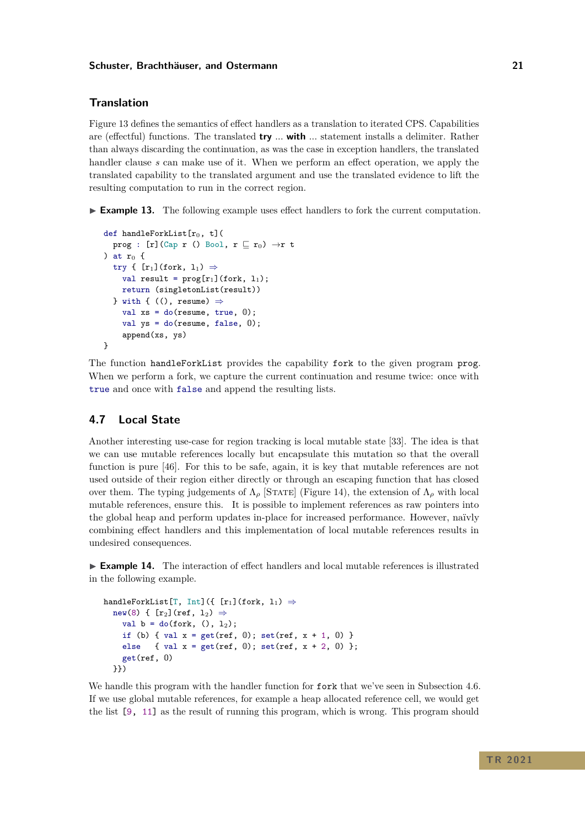## **Translation**

Figure [13](#page-19-0) defines the semantics of effect handlers as a translation to iterated CPS. Capabilities are (effectful) functions. The translated **try** *...* **with** *...* statement installs a delimiter. Rather than always discarding the continuation, as was the case in exception handlers, the translated handler clause *s* can make use of it. When we perform an effect operation, we apply the translated capability to the translated argument and use the translated evidence to lift the resulting computation to run in the correct region.

► **Example 13.** The following example uses effect handlers to fork the current computation.

```
def handleForkList[r_0, t] (
  prog : [r](Cap r () Bool, r \sqsubseteq r_0) \rightarrow r t
) at r_0 {
  try { [r_1](fork, l_1) \Rightarrowval result = proj[r_1](fork, 1_1);return (singletonList(result))
  } with { ((), resume) \Rightarrowval xs = do(resume, true, 0);
    val ys = do(resume, false, 0);
    append(xs, ys)
}
```
The function handleForkList provides the capability fork to the given program prog. When we perform a fork, we capture the current continuation and resume twice: once with true and once with false and append the resulting lists.

# **4.7 Local State**

Another interesting use-case for region tracking is local mutable state [\[33\]](#page-29-9). The idea is that we can use mutable references locally but encapsulate this mutation so that the overall function is pure [\[46\]](#page-29-10). For this to be safe, again, it is key that mutable references are not used outside of their region either directly or through an escaping function that has closed over them. The typing judgements of  $\Lambda_{\rho}$  [STATE] (Figure [14\)](#page-21-0), the extension of  $\Lambda_{\rho}$  with local mutable references, ensure this. It is possible to implement references as raw pointers into the global heap and perform updates in-place for increased performance. However, naïvly combining effect handlers and this implementation of local mutable references results in undesired consequences.

<span id="page-20-0"></span>► **Example 14.** The interaction of effect handlers and local mutable references is illustrated in the following example.

```
handleForkList[T, Int]({ [r_1](fork, 1<sub>1</sub>) \Rightarrownew(8) { [r_2](ref, l_2) \Rightarrowval b = do(fork, (), 1<sub>2</sub>);
     if (b) { val x = get(ref, 0); set(ref, x + 1, 0) }
     else { val x = get(ref, 0); set(ref, x + 2, 0) };
     get(ref, 0)
  }})
```
We handle this program with the handler function for **fork** that we've seen in Subsection [4.6.](#page-19-1) If we use global mutable references, for example a heap allocated reference cell, we would get the list [9, 11] as the result of running this program, which is wrong. This program should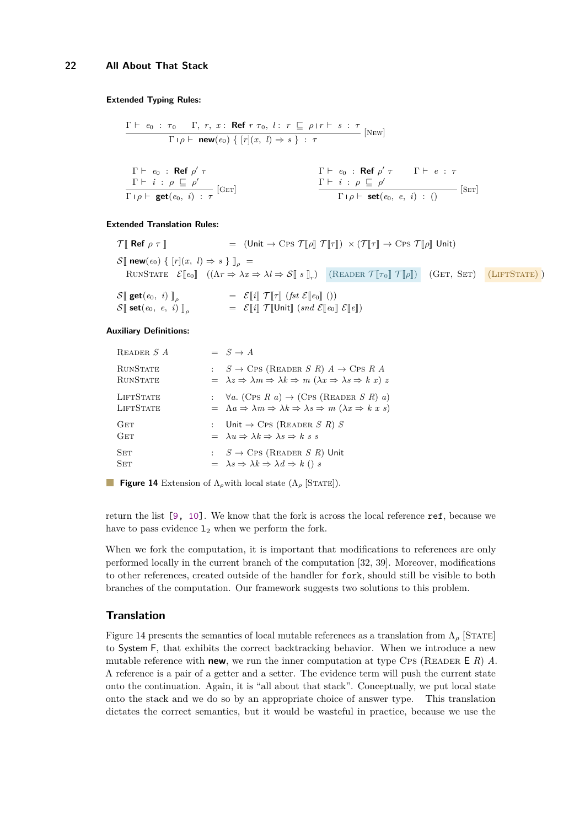<span id="page-21-0"></span>
$$
\frac{\Gamma \vdash e_0 : \tau_0 \quad \Gamma, \ r, \ x : \ \text{Ref } r \ \tau_0, \ l : \ r \ \sqsubseteq \ \rho \mid r \vdash s : \ \tau}{\Gamma \mid \rho \vdash \ \text{new}(e_0) \ \{ \ [r](x, \ l) \Rightarrow s \ \} : \ \tau}
$$
 [New]

| $\Gamma \vdash e_0$ : Ref $\rho' \tau$                                                                     | $\Gamma \vdash e_0$ : Ref $\rho' \tau$            | $\Gamma \vdash e : \tau$    |
|------------------------------------------------------------------------------------------------------------|---------------------------------------------------|-----------------------------|
| $\frac{\Gamma \vdash i : \rho \sqsubseteq \rho'}{\square \blacksquare \square} \qquad \qquad \text{[Ger]}$ | $\Gamma \vdash i : \rho \sqsubset \rho'$          | $\left[ \text{SET} \right]$ |
| $\Gamma \rho \vdash \textbf{get}(e_0, i) : \tau$ <sup>[G</sup>                                             | $\Gamma \varphi \vdash \mathsf{set}(e_0, e, i) :$ |                             |

#### **Extended Translation Rules:**

| $\mathcal{T}$ Ref $\rho \tau$ ]                                                                              |                                                                                                                                                                                                                         | = $(\text{Unit} \rightarrow \text{Cps } \mathcal{T}[\![\rho]\!] \mathcal{T}[\![\tau]\!]) \times (\mathcal{T}[\![\tau]\!] \rightarrow \text{Cps } \mathcal{T}[\![\rho]\!]$ Unit) |  |
|--------------------------------------------------------------------------------------------------------------|-------------------------------------------------------------------------------------------------------------------------------------------------------------------------------------------------------------------------|---------------------------------------------------------------------------------------------------------------------------------------------------------------------------------|--|
| $\mathcal{S}[\![\:\textbf{new}(e_0)\!\n\in [r](x, l) \Rightarrow s \;\!]_o =$                                |                                                                                                                                                                                                                         |                                                                                                                                                                                 |  |
|                                                                                                              | RUNSTATE $\mathcal{E}[\![e_0]\!]$ $((\Lambda r \Rightarrow \lambda x \Rightarrow \lambda l \Rightarrow \mathcal{S}[\![s]\!]_r)$ (READER $\mathcal{T}[\![\tau_0]\!]$ $\mathcal{T}[\![\rho]\!]$ ) (GET, SET) (LIFTSTATE)) |                                                                                                                                                                                 |  |
| $\mathcal{S}[\![\operatorname{get}(e_0, i)]\!]_\rho$<br>$\mathcal{S}[\![\operatorname{set}(e_0, e, i)]\!]_o$ | $= \mathcal{E}[[i]] \mathcal{T}[[\tau]] (f_{st} \mathcal{E}[[e_0]]))$<br>$= \mathcal{E}[[i]] \mathcal{T}[[\mathsf{Unit}]] \; (snd \; \mathcal{E}[[e]] \; \mathcal{E}[[e]])$                                             |                                                                                                                                                                                 |  |

#### **Auxiliary Definitions:**

| READER S A                         | $\equiv S \rightarrow A$                                                                                                                                                                   |
|------------------------------------|--------------------------------------------------------------------------------------------------------------------------------------------------------------------------------------------|
| <b>RUNSTATE</b><br><b>RUNSTATE</b> | : $S \to \text{CPS}$ (READER S R) $A \to \text{CPS}$ R A<br>$= \lambda z \Rightarrow \lambda m \Rightarrow \lambda k \Rightarrow m (\lambda x \Rightarrow \lambda s \Rightarrow k x) z$    |
| LIFTSTATE<br>LIFTSTATE             | : $\forall a.$ (Cps R a) $\rightarrow$ (Cps (READER S R) a)<br>$= \Lambda a \Rightarrow \lambda m \Rightarrow \lambda k \Rightarrow \lambda s \Rightarrow m (\lambda x \Rightarrow k x s)$ |
| GET<br>GET                         | : Unit $\rightarrow$ CPS (READER S R) S<br>$= \lambda u \Rightarrow \lambda k \Rightarrow \lambda s \Rightarrow k s s$                                                                     |
| SET<br><b>SET</b>                  | : $S \to \text{CPS}$ (READER S R) Unit<br>$= \lambda s \Rightarrow \lambda k \Rightarrow \lambda d \Rightarrow k \ ( ) \ s$                                                                |

**Figure 14** Extension of  $\Lambda_{\rho}$  with local state  $(\Lambda_{\rho}$  [STATE]).

return the list [9, 10]. We know that the fork is across the local reference ref, because we have to pass evidence  $1_2$  when we perform the fork.

When we fork the computation, it is important that modifications to references are only performed locally in the current branch of the computation [\[32,](#page-29-11) [39\]](#page-29-12). Moreover, modifications to other references, created outside of the handler for fork, should still be visible to both branches of the computation. Our framework suggests two solutions to this problem.

#### **Translation**

Figure [14](#page-21-0) presents the semantics of local mutable references as a translation from  $\Lambda_{\rho}$  [STATE] to System F, that exhibits the correct backtracking behavior. When we introduce a new mutable reference with **new**, we run the inner computation at type CPs (READER  $E \ R$ ) *A*. A reference is a pair of a getter and a setter. The evidence term will push the current state onto the continuation. Again, it is "all about that stack". Conceptually, we put local state onto the stack and we do so by an appropriate choice of answer type. This translation dictates the correct semantics, but it would be wasteful in practice, because we use the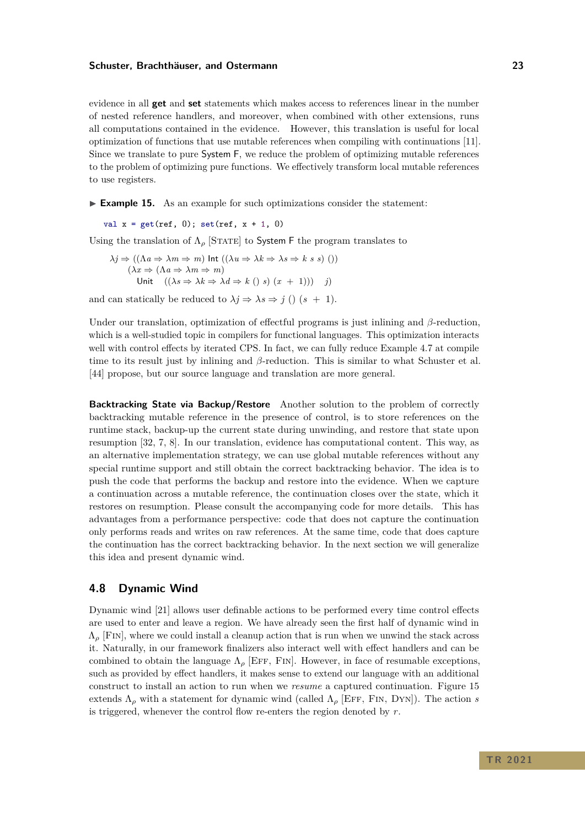evidence in all **get** and **set** statements which makes access to references linear in the number of nested reference handlers, and moreover, when combined with other extensions, runs all computations contained in the evidence. However, this translation is useful for local optimization of functions that use mutable references when compiling with continuations [\[11\]](#page-27-7). Since we translate to pure System F, we reduce the problem of optimizing mutable references to the problem of optimizing pure functions. We effectively transform local mutable references to use registers.

► **Example 15.** As an example for such optimizations consider the statement:

val  $x = get(ref, 0)$ ; set(ref,  $x + 1$ , 0)

Using the translation of  $\Lambda_{\rho}$  [STATE] to System F the program translates to

$$
\lambda j \Rightarrow ((\Lambda a \Rightarrow \lambda m \Rightarrow m) \text{ Int } ((\lambda u \Rightarrow \lambda k \Rightarrow \lambda s \Rightarrow k s s))))
$$
  

$$
(\lambda x \Rightarrow (\Lambda a \Rightarrow \lambda m \Rightarrow m)
$$
  
Unit 
$$
((\lambda s \Rightarrow \lambda k \Rightarrow \lambda d \Rightarrow k (s s) (x + 1))) = j)
$$

and can statically be reduced to  $\lambda j \Rightarrow \lambda s \Rightarrow j$  ()  $(s + 1)$ .

Under our translation, optimization of effectful programs is just inlining and *β*-reduction, which is a well-studied topic in compilers for functional languages. This optimization interacts well with control effects by iterated CPS. In fact, we can fully reduce Example [4.7](#page-20-0) at compile time to its result just by inlining and *β*-reduction. This is similar to what Schuster et al. [\[44\]](#page-29-5) propose, but our source language and translation are more general.

**Backtracking State via Backup/Restore** Another solution to the problem of correctly backtracking mutable reference in the presence of control, is to store references on the runtime stack, backup-up the current state during unwinding, and restore that state upon resumption [\[32,](#page-29-11) [7,](#page-27-8) [8\]](#page-27-9). In our translation, evidence has computational content. This way, as an alternative implementation strategy, we can use global mutable references without any special runtime support and still obtain the correct backtracking behavior. The idea is to push the code that performs the backup and restore into the evidence. When we capture a continuation across a mutable reference, the continuation closes over the state, which it restores on resumption. Please consult the accompanying code for more details. This has advantages from a performance perspective: code that does not capture the continuation only performs reads and writes on raw references. At the same time, code that does capture the continuation has the correct backtracking behavior. In the next section we will generalize this idea and present dynamic wind.

### **4.8 Dynamic Wind**

Dynamic wind [\[21\]](#page-28-8) allows user definable actions to be performed every time control effects are used to enter and leave a region. We have already seen the first half of dynamic wind in  $\Lambda_{\rho}$  [FIN], where we could install a cleanup action that is run when we unwind the stack across it. Naturally, in our framework finalizers also interact well with effect handlers and can be combined to obtain the language  $\Lambda_{\rho}$  [EFF, FIN]. However, in face of resumable exceptions, such as provided by effect handlers, it makes sense to extend our language with an additional construct to install an action to run when we *resume* a captured continuation. Figure [15](#page-23-0) extends  $\Lambda_{\rho}$  with a statement for dynamic wind (called  $\Lambda_{\rho}$  [EFF, FIN, DYN]). The action *s* is triggered, whenever the control flow re-enters the region denoted by *r*.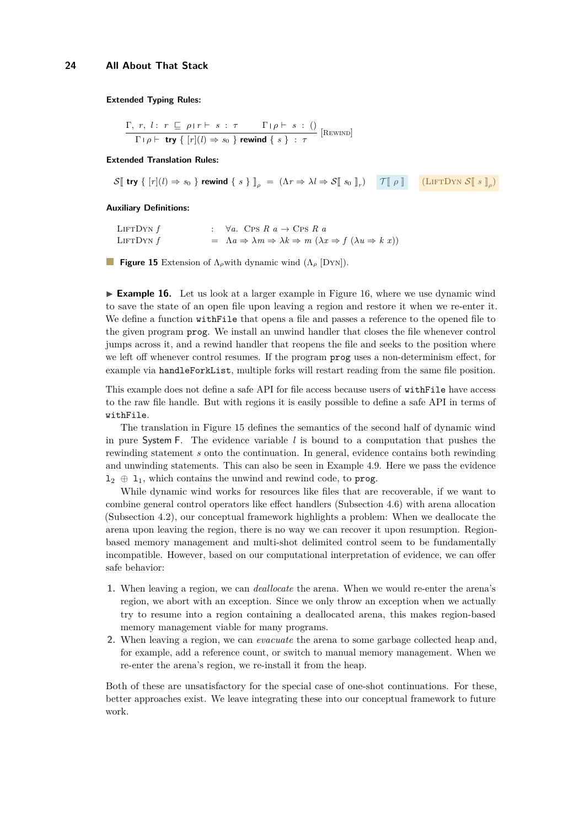<span id="page-23-0"></span> $Γ, r, l: r ⊡ ρ$ <sup>*r*</sup>  $F$  *s* : *τ*  $Γ$   $ρ$   $F$  *s* : ()  $\frac{1}{\Gamma} \left[ \rho \vdash \text{try} \{ [r](l) \Rightarrow s_0 \} \text{ rewind} \{ s \} : \tau \right]$  [Rewind]

#### **Extended Translation Rules:**

 $S[\![ \text{ try } \{\,[r](l) \Rightarrow s_0\,\} \text{ rewind } \{\,s\,\}\,]_\rho \; = \; (\Lambda r \Rightarrow \lambda l \Rightarrow S[\![ \,s_0 \,]\!]_r) \quad \text{[} \begin{array}{cc} \text{T}[\![ \, \rho \,]\!] \text{[}} & \text{(LIFTDYN } S[\![ \,s \,]\!]_\rho \end{array})$ 

#### **Auxiliary Definitions:**

| LIFTDYN $f$ | : $\forall a. \text{ CPS } R \ a \rightarrow \text{ CPS } R \ a$                                                              |
|-------------|-------------------------------------------------------------------------------------------------------------------------------|
| LIFTDYN $f$ | $= \Lambda a \Rightarrow \lambda m \Rightarrow \lambda k \Rightarrow m (\lambda x \Rightarrow f (\lambda u \Rightarrow k x))$ |

**Figure 15** Extension of Λ*ρ*with dynamic wind (Λ*<sup>ρ</sup>* [Dyn]).

<span id="page-23-1"></span>► **Example 16.** Let us look at a larger example in Figure [16,](#page-24-0) where we use dynamic wind to save the state of an open file upon leaving a region and restore it when we re-enter it. We define a function with File that opens a file and passes a reference to the opened file to the given program prog. We install an unwind handler that closes the file whenever control jumps across it, and a rewind handler that reopens the file and seeks to the position where we left off whenever control resumes. If the program prog uses a non-determinism effect, for example via handleForkList, multiple forks will restart reading from the same file position.

This example does not define a safe API for file access because users of withFile have access to the raw file handle. But with regions it is easily possible to define a safe API in terms of withFile.

The translation in Figure [15](#page-23-0) defines the semantics of the second half of dynamic wind in pure System F. The evidence variable *l* is bound to a computation that pushes the rewinding statement *s* onto the continuation. In general, evidence contains both rewinding and unwinding statements. This can also be seen in Example [4.9.](#page-23-1) Here we pass the evidence  $1_2 \oplus 1_1$ , which contains the unwind and rewind code, to prog.

While dynamic wind works for resources like files that are recoverable, if we want to combine general control operators like effect handlers (Subsection [4.6\)](#page-19-1) with arena allocation (Subsection [4.2\)](#page-14-0), our conceptual framework highlights a problem: When we deallocate the arena upon leaving the region, there is no way we can recover it upon resumption. Regionbased memory management and multi-shot delimited control seem to be fundamentally incompatible. However, based on our computational interpretation of evidence, we can offer safe behavior:

- **1.** When leaving a region, we can *deallocate* the arena. When we would re-enter the arena's region, we abort with an exception. Since we only throw an exception when we actually try to resume into a region containing a deallocated arena, this makes region-based memory management viable for many programs.
- **2.** When leaving a region, we can *evacuate* the arena to some garbage collected heap and, for example, add a reference count, or switch to manual memory management. When we re-enter the arena's region, we re-install it from the heap.

Both of these are unsatisfactory for the special case of one-shot continuations. For these, better approaches exist. We leave integrating these into our conceptual framework to future work.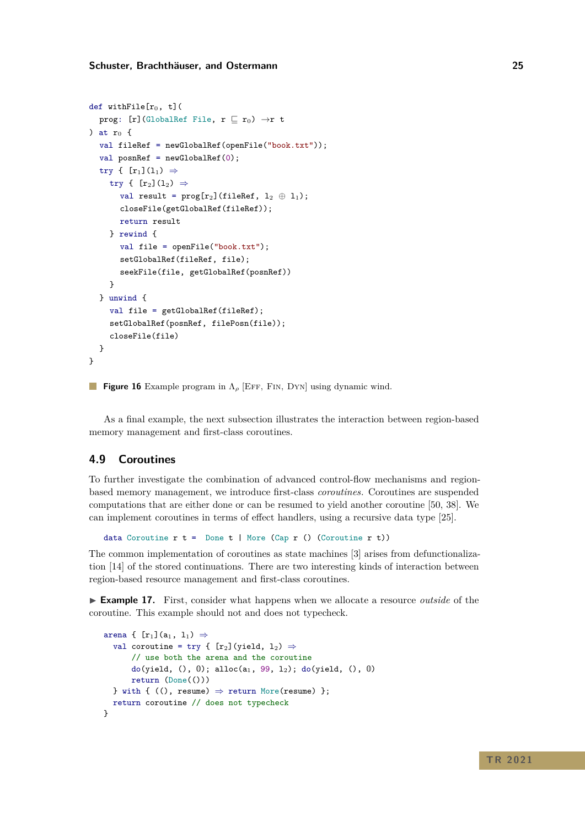```
def withFile[r_0, t] (
  prog: [r](GlobalRef File, r \sqsubseteq r_0) \rightarrow r t
) at r_0 {
  val fileRef = newGlobalRef(openFile("book.txt"));
  val posnRef = newGlobalRef(0);
  try { [r_1](1_1) \Rightarrowtry { [r_2](1_2) \Rightarrowval result = prog[r_2](fileRef, 1_2 \oplus 1_1);
       closeFile(getGlobalRef(fileRef));
       return result
     } rewind {
       val file = openFile("book.txt");
       setGlobalRef(fileRef, file);
       seekFile(file, getGlobalRef(posnRef))
     }
  } unwind {
     val file = getGlobalRef(fileRef);
     setGlobalRef(posnRef, filePosn(file));
     closeFile(file)
  }
}
```
**Figure 16** Example program in Λ*<sup>ρ</sup>* [Eff, Fin, Dyn] using dynamic wind.

As a final example, the next subsection illustrates the interaction between region-based memory management and first-class coroutines.

# **4.9 Coroutines**

To further investigate the combination of advanced control-flow mechanisms and regionbased memory management, we introduce first-class *coroutines*. Coroutines are suspended computations that are either done or can be resumed to yield another coroutine [\[50,](#page-30-6) [38\]](#page-29-13). We can implement coroutines in terms of effect handlers, using a recursive data type [\[25\]](#page-28-9).

data Coroutine  $r \t=$  Done  $t \mid$  More (Cap  $r$  () (Coroutine  $r \t$ ))

The common implementation of coroutines as state machines [\[3\]](#page-27-10) arises from defunctionalization [\[14\]](#page-27-11) of the stored continuations. There are two interesting kinds of interaction between region-based resource management and first-class coroutines.

► **Example 17.** First, consider what happens when we allocate a resource *outside* of the coroutine. This example should not and does not typecheck.

```
arena { [r_1](a_1, 1_1) \Rightarrowval coroutine = try { [r_2] (yield, 1_2) \Rightarrow// use both the arena and the coroutine
       do(yield, (), 0); alloc(a<sub>1</sub>, 99, 1<sub>2</sub>); do(yield, (), 0)
       return (Done(()))
  } with { ((), resume) \Rightarrow return More(resume) };
  return coroutine // does not typecheck
}
```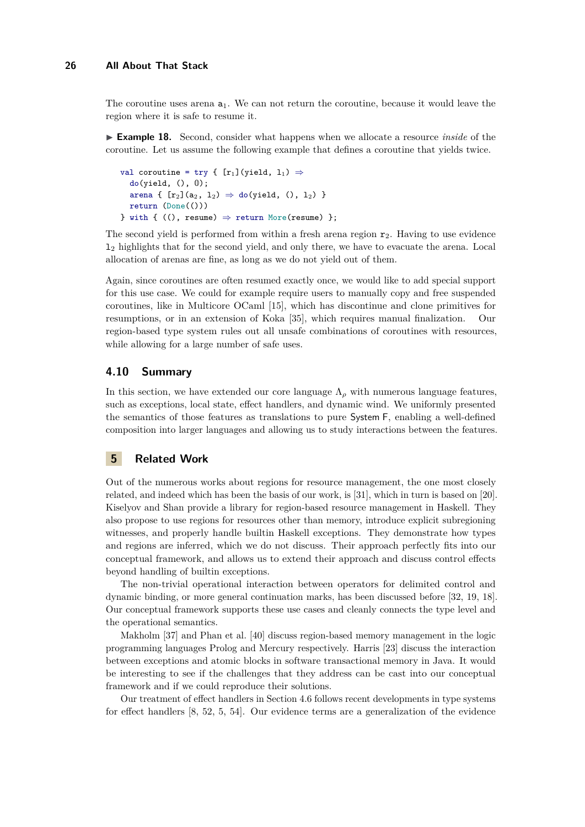The coroutine uses arena  $a_1$ . We can not return the coroutine, because it would leave the region where it is safe to resume it.

► **Example 18.** Second, consider what happens when we allocate a resource *inside* of the coroutine. Let us assume the following example that defines a coroutine that yields twice.

```
val coroutine = try { [r_1] (yield, 1_1) \Rightarrowdo(yield, (), 0);arena { [r_2](a_2, 1_2) \Rightarrow do(yield, (), 12) }
  return (Done(()))
} with { ((), resume) \Rightarrow return More(resume) };
```
The second yield is performed from within a fresh arena region  $r<sub>2</sub>$ . Having to use evidence l<sup>2</sup> highlights that for the second yield, and only there, we have to evacuate the arena. Local allocation of arenas are fine, as long as we do not yield out of them.

Again, since coroutines are often resumed exactly once, we would like to add special support for this use case. We could for example require users to manually copy and free suspended coroutines, like in Multicore OCaml [\[15\]](#page-27-12), which has discontinue and clone primitives for resumptions, or in an extension of Koka [\[35\]](#page-29-14), which requires manual finalization. Our region-based type system rules out all unsafe combinations of coroutines with resources, while allowing for a large number of safe uses.

# **4.10 Summary**

In this section, we have extended our core language  $\Lambda_{\rho}$  with numerous language features, such as exceptions, local state, effect handlers, and dynamic wind. We uniformly presented the semantics of those features as translations to pure System F, enabling a well-defined composition into larger languages and allowing us to study interactions between the features.

## **5 Related Work**

Out of the numerous works about regions for resource management, the one most closely related, and indeed which has been the basis of our work, is [\[31\]](#page-29-1), which in turn is based on [\[20\]](#page-28-1). [Kiselyov and Shan](#page-29-1) provide a library for region-based resource management in Haskell. They also propose to use regions for resources other than memory, introduce explicit subregioning witnesses, and properly handle builtin Haskell exceptions. They demonstrate how types and regions are inferred, which we do not discuss. Their approach perfectly fits into our conceptual framework, and allows us to extend their approach and discuss control effects beyond handling of builtin exceptions.

The non-trivial operational interaction between operators for delimited control and dynamic binding, or more general continuation marks, has been discussed before [\[32,](#page-29-11) [19,](#page-28-10) [18\]](#page-28-11). Our conceptual framework supports these use cases and cleanly connects the type level and the operational semantics.

Makholm [\[37\]](#page-29-15) and Phan et al. [\[40\]](#page-29-16) discuss region-based memory management in the logic programming languages Prolog and Mercury respectively. Harris [\[23\]](#page-28-12) discuss the interaction between exceptions and atomic blocks in software transactional memory in Java. It would be interesting to see if the challenges that they address can be cast into our conceptual framework and if we could reproduce their solutions.

Our treatment of effect handlers in Section [4.6](#page-19-1) follows recent developments in type systems for effect handlers [\[8,](#page-27-9) [52,](#page-30-3) [5,](#page-27-13) [54\]](#page-30-7). Our evidence terms are a generalization of the evidence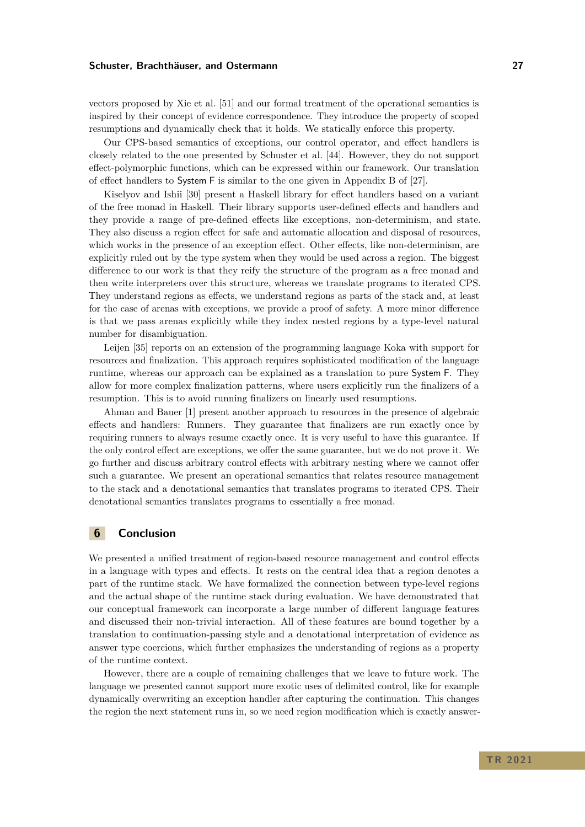vectors proposed by Xie et al. [\[51\]](#page-30-4) and our formal treatment of the operational semantics is inspired by their concept of evidence correspondence. They introduce the property of scoped resumptions and dynamically check that it holds. We statically enforce this property.

Our CPS-based semantics of exceptions, our control operator, and effect handlers is closely related to the one presented by Schuster et al. [\[44\]](#page-29-5). However, they do not support effect-polymorphic functions, which can be expressed within our framework. Our translation of effect handlers to System F is similar to the one given in Appendix B of [\[27\]](#page-28-13).

Kiselyov and Ishii [\[30\]](#page-29-2) present a Haskell library for effect handlers based on a variant of the free monad in Haskell. Their library supports user-defined effects and handlers and they provide a range of pre-defined effects like exceptions, non-determinism, and state. They also discuss a region effect for safe and automatic allocation and disposal of resources, which works in the presence of an exception effect. Other effects, like non-determinism, are explicitly ruled out by the type system when they would be used across a region. The biggest difference to our work is that they reify the structure of the program as a free monad and then write interpreters over this structure, whereas we translate programs to iterated CPS. They understand regions as effects, we understand regions as parts of the stack and, at least for the case of arenas with exceptions, we provide a proof of safety. A more minor difference is that we pass arenas explicitly while they index nested regions by a type-level natural number for disambiguation.

Leijen [\[35\]](#page-29-14) reports on an extension of the programming language Koka with support for resources and finalization. This approach requires sophisticated modification of the language runtime, whereas our approach can be explained as a translation to pure System F. They allow for more complex finalization patterns, where users explicitly run the finalizers of a resumption. This is to avoid running finalizers on linearly used resumptions.

Ahman and Bauer [\[1\]](#page-27-14) present another approach to resources in the presence of algebraic effects and handlers: Runners. They guarantee that finalizers are run exactly once by requiring runners to always resume exactly once. It is very useful to have this guarantee. If the only control effect are exceptions, we offer the same guarantee, but we do not prove it. We go further and discuss arbitrary control effects with arbitrary nesting where we cannot offer such a guarantee. We present an operational semantics that relates resource management to the stack and a denotational semantics that translates programs to iterated CPS. Their denotational semantics translates programs to essentially a free monad.

# **6 Conclusion**

We presented a unified treatment of region-based resource management and control effects in a language with types and effects. It rests on the central idea that a region denotes a part of the runtime stack. We have formalized the connection between type-level regions and the actual shape of the runtime stack during evaluation. We have demonstrated that our conceptual framework can incorporate a large number of different language features and discussed their non-trivial interaction. All of these features are bound together by a translation to continuation-passing style and a denotational interpretation of evidence as answer type coercions, which further emphasizes the understanding of regions as a property of the runtime context.

However, there are a couple of remaining challenges that we leave to future work. The language we presented cannot support more exotic uses of delimited control, like for example dynamically overwriting an exception handler after capturing the continuation. This changes the region the next statement runs in, so we need region modification which is exactly answer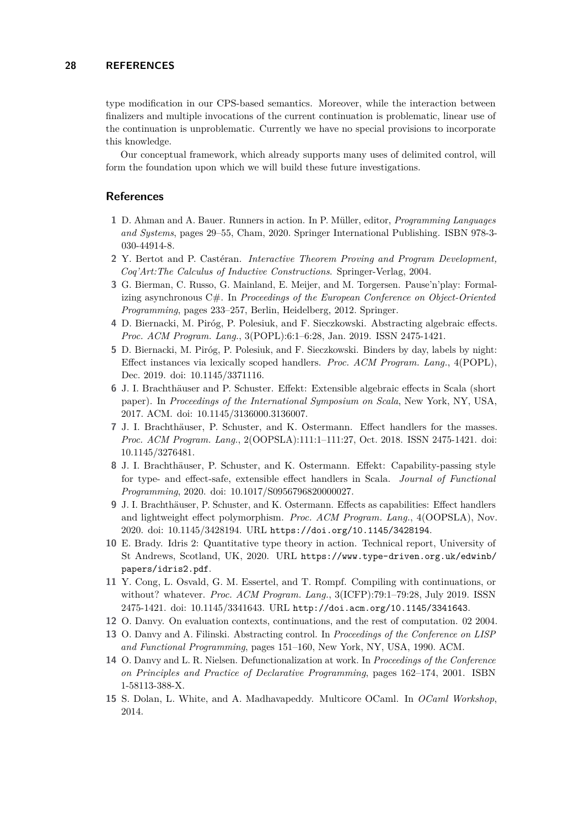type modification in our CPS-based semantics. Moreover, while the interaction between finalizers and multiple invocations of the current continuation is problematic, linear use of the continuation is unproblematic. Currently we have no special provisions to incorporate this knowledge.

Our conceptual framework, which already supports many uses of delimited control, will form the foundation upon which we will build these future investigations.

# **References**

- <span id="page-27-14"></span>**1** D. Ahman and A. Bauer. Runners in action. In P. Müller, editor, *Programming Languages and Systems*, pages 29–55, Cham, 2020. Springer International Publishing. ISBN 978-3- 030-44914-8.
- <span id="page-27-3"></span>**2** Y. Bertot and P. Castéran. *Interactive Theorem Proving and Program Development, Coq'Art:The Calculus of Inductive Constructions*. Springer-Verlag, 2004.
- <span id="page-27-10"></span>**3** G. Bierman, C. Russo, G. Mainland, E. Meijer, and M. Torgersen. Pause'n'play: Formalizing asynchronous C#. In *Proceedings of the European Conference on Object-Oriented Programming*, pages 233–257, Berlin, Heidelberg, 2012. Springer.
- <span id="page-27-1"></span>**4** D. Biernacki, M. Piróg, P. Polesiuk, and F. Sieczkowski. Abstracting algebraic effects. *Proc. ACM Program. Lang.*, 3(POPL):6:1–6:28, Jan. 2019. ISSN 2475-1421.
- <span id="page-27-13"></span>**5** D. Biernacki, M. Piróg, P. Polesiuk, and F. Sieczkowski. Binders by day, labels by night: Effect instances via lexically scoped handlers. *Proc. ACM Program. Lang.*, 4(POPL), Dec. 2019. doi: 10.1145/3371116.
- <span id="page-27-6"></span>**6** J. I. Brachthäuser and P. Schuster. Effekt: Extensible algebraic effects in Scala (short paper). In *Proceedings of the International Symposium on Scala*, New York, NY, USA, 2017. ACM. doi: 10.1145/3136000.3136007.
- <span id="page-27-8"></span>**7** J. I. Brachthäuser, P. Schuster, and K. Ostermann. Effect handlers for the masses. *Proc. ACM Program. Lang.*, 2(OOPSLA):111:1–111:27, Oct. 2018. ISSN 2475-1421. doi: 10.1145/3276481.
- <span id="page-27-9"></span>**8** J. I. Brachthäuser, P. Schuster, and K. Ostermann. Effekt: Capability-passing style for type- and effect-safe, extensible effect handlers in Scala. *Journal of Functional Programming*, 2020. doi: 10.1017/S0956796820000027.
- <span id="page-27-2"></span>**9** J. I. Brachthäuser, P. Schuster, and K. Ostermann. Effects as capabilities: Effect handlers and lightweight effect polymorphism. *Proc. ACM Program. Lang.*, 4(OOPSLA), Nov. 2020. doi: 10.1145/3428194. URL <https://doi.org/10.1145/3428194>.
- <span id="page-27-5"></span>**10** E. Brady. Idris 2: Quantitative type theory in action. Technical report, University of St Andrews, Scotland, UK, 2020. URL [https://www.type-driven.org.uk/edwinb/](https://www.type-driven.org.uk/edwinb/papers/idris2.pdf) [papers/idris2.pdf](https://www.type-driven.org.uk/edwinb/papers/idris2.pdf).
- <span id="page-27-7"></span>**11** Y. Cong, L. Osvald, G. M. Essertel, and T. Rompf. Compiling with continuations, or without? whatever. *Proc. ACM Program. Lang.*, 3(ICFP):79:1–79:28, July 2019. ISSN 2475-1421. doi: 10.1145/3341643. URL <http://doi.acm.org/10.1145/3341643>.
- <span id="page-27-4"></span>**12** O. Danvy. On evaluation contexts, continuations, and the rest of computation. 02 2004.
- <span id="page-27-0"></span>**13** O. Danvy and A. Filinski. Abstracting control. In *Proceedings of the Conference on LISP and Functional Programming*, pages 151–160, New York, NY, USA, 1990. ACM.
- <span id="page-27-11"></span>**14** O. Danvy and L. R. Nielsen. Defunctionalization at work. In *Proceedings of the Conference on Principles and Practice of Declarative Programming*, pages 162–174, 2001. ISBN 1-58113-388-X.
- <span id="page-27-12"></span>**15** S. Dolan, L. White, and A. Madhavapeddy. Multicore OCaml. In *OCaml Workshop*, 2014.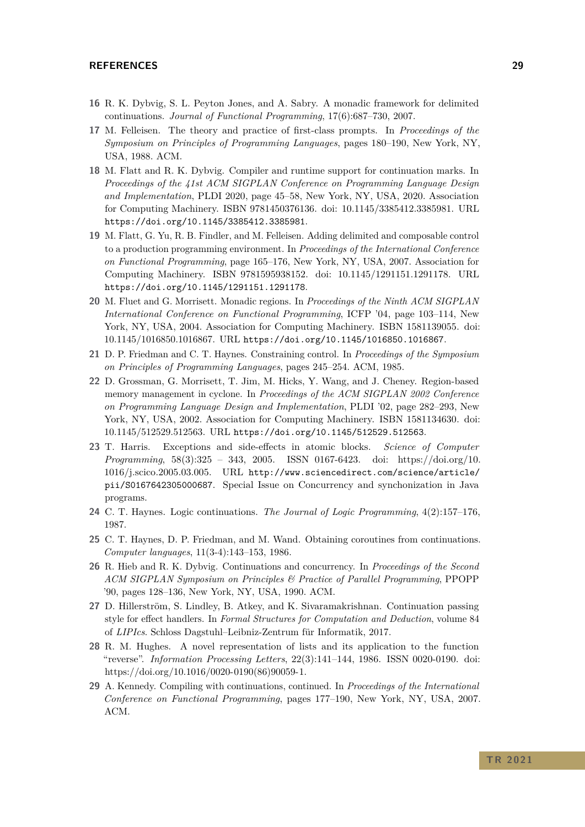## **REFERENCES 29**

- <span id="page-28-5"></span>**16** R. K. Dybvig, S. L. Peyton Jones, and A. Sabry. A monadic framework for delimited continuations. *Journal of Functional Programming*, 17(6):687–730, 2007.
- <span id="page-28-4"></span>**17** M. Felleisen. The theory and practice of first-class prompts. In *Proceedings of the Symposium on Principles of Programming Languages*, pages 180–190, New York, NY, USA, 1988. ACM.
- <span id="page-28-11"></span>**18** M. Flatt and R. K. Dybvig. Compiler and runtime support for continuation marks. In *Proceedings of the 41st ACM SIGPLAN Conference on Programming Language Design and Implementation*, PLDI 2020, page 45–58, New York, NY, USA, 2020. Association for Computing Machinery. ISBN 9781450376136. doi: 10.1145/3385412.3385981. URL <https://doi.org/10.1145/3385412.3385981>.
- <span id="page-28-10"></span>**19** M. Flatt, G. Yu, R. B. Findler, and M. Felleisen. Adding delimited and composable control to a production programming environment. In *Proceedings of the International Conference on Functional Programming*, page 165–176, New York, NY, USA, 2007. Association for Computing Machinery. ISBN 9781595938152. doi: 10.1145/1291151.1291178. URL <https://doi.org/10.1145/1291151.1291178>.
- <span id="page-28-1"></span>**20** M. Fluet and G. Morrisett. Monadic regions. In *Proceedings of the Ninth ACM SIGPLAN International Conference on Functional Programming*, ICFP '04, page 103–114, New York, NY, USA, 2004. Association for Computing Machinery. ISBN 1581139055. doi: 10.1145/1016850.1016867. URL <https://doi.org/10.1145/1016850.1016867>.
- <span id="page-28-8"></span>**21** D. P. Friedman and C. T. Haynes. Constraining control. In *Proceedings of the Symposium on Principles of Programming Languages*, pages 245–254. ACM, 1985.
- <span id="page-28-0"></span>**22** D. Grossman, G. Morrisett, T. Jim, M. Hicks, Y. Wang, and J. Cheney. Region-based memory management in cyclone. In *Proceedings of the ACM SIGPLAN 2002 Conference on Programming Language Design and Implementation*, PLDI '02, page 282–293, New York, NY, USA, 2002. Association for Computing Machinery. ISBN 1581134630. doi: 10.1145/512529.512563. URL <https://doi.org/10.1145/512529.512563>.
- <span id="page-28-12"></span>**23** T. Harris. Exceptions and side-effects in atomic blocks. *Science of Computer Programming*, 58(3):325 – 343, 2005. ISSN 0167-6423. doi: https://doi.org/10. 1016/j.scico.2005.03.005. URL [http://www.sciencedirect.com/science/article/](http://www.sciencedirect.com/science/article/pii/S0167642305000687) [pii/S0167642305000687](http://www.sciencedirect.com/science/article/pii/S0167642305000687). Special Issue on Concurrency and synchonization in Java programs.
- <span id="page-28-6"></span>**24** C. T. Haynes. Logic continuations. *The Journal of Logic Programming*, 4(2):157–176, 1987.
- <span id="page-28-9"></span>**25** C. T. Haynes, D. P. Friedman, and M. Wand. Obtaining coroutines from continuations. *Computer languages*, 11(3-4):143–153, 1986.
- <span id="page-28-7"></span>**26** R. Hieb and R. K. Dybvig. Continuations and concurrency. In *Proceedings of the Second ACM SIGPLAN Symposium on Principles & Practice of Parallel Programming*, PPOPP '90, pages 128–136, New York, NY, USA, 1990. ACM.
- <span id="page-28-13"></span>**27** D. Hillerström, S. Lindley, B. Atkey, and K. Sivaramakrishnan. Continuation passing style for effect handlers. In *Formal Structures for Computation and Deduction*, volume 84 of *LIPIcs*. Schloss Dagstuhl–Leibniz-Zentrum für Informatik, 2017.
- <span id="page-28-2"></span>**28** R. M. Hughes. A novel representation of lists and its application to the function "reverse". *Information Processing Letters*, 22(3):141–144, 1986. ISSN 0020-0190. doi: https://doi.org/10.1016/0020-0190(86)90059-1.
- <span id="page-28-3"></span>**29** A. Kennedy. Compiling with continuations, continued. In *Proceedings of the International Conference on Functional Programming*, pages 177–190, New York, NY, USA, 2007. ACM.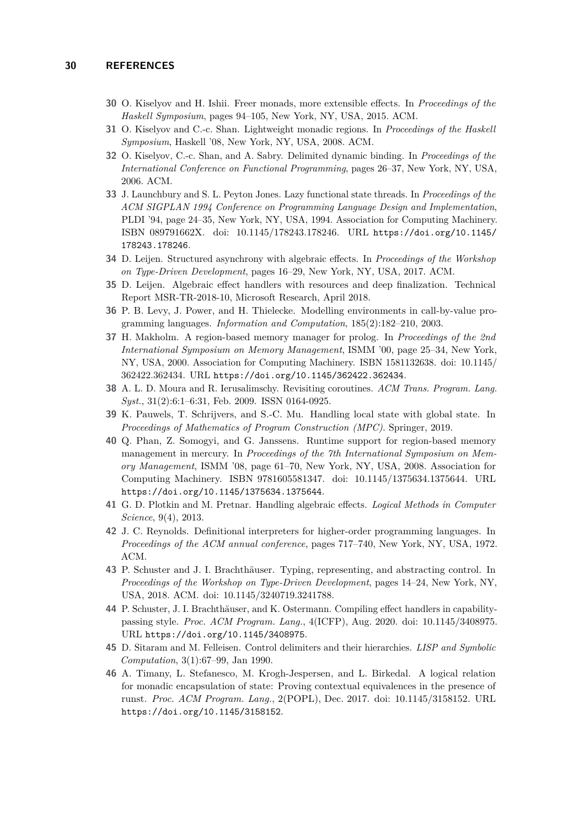- <span id="page-29-2"></span>**30** O. Kiselyov and H. Ishii. Freer monads, more extensible effects. In *Proceedings of the Haskell Symposium*, pages 94–105, New York, NY, USA, 2015. ACM.
- <span id="page-29-1"></span>**31** O. Kiselyov and C.-c. Shan. Lightweight monadic regions. In *Proceedings of the Haskell Symposium*, Haskell '08, New York, NY, USA, 2008. ACM.
- <span id="page-29-11"></span>**32** O. Kiselyov, C.-c. Shan, and A. Sabry. Delimited dynamic binding. In *Proceedings of the International Conference on Functional Programming*, pages 26–37, New York, NY, USA, 2006. ACM.
- <span id="page-29-9"></span>**33** J. Launchbury and S. L. Peyton Jones. Lazy functional state threads. In *Proceedings of the ACM SIGPLAN 1994 Conference on Programming Language Design and Implementation*, PLDI '94, page 24–35, New York, NY, USA, 1994. Association for Computing Machinery. ISBN 089791662X. doi: 10.1145/178243.178246. URL [https://doi.org/10.1145/](https://doi.org/10.1145/178243.178246) [178243.178246](https://doi.org/10.1145/178243.178246).
- <span id="page-29-8"></span>**34** D. Leijen. Structured asynchrony with algebraic effects. In *Proceedings of the Workshop on Type-Driven Development*, pages 16–29, New York, NY, USA, 2017. ACM.
- <span id="page-29-14"></span>**35** D. Leijen. Algebraic effect handlers with resources and deep finalization. Technical Report MSR-TR-2018-10, Microsoft Research, April 2018.
- <span id="page-29-3"></span>**36** P. B. Levy, J. Power, and H. Thielecke. Modelling environments in call-by-value programming languages. *Information and Computation*, 185(2):182–210, 2003.
- <span id="page-29-15"></span>**37** H. Makholm. A region-based memory manager for prolog. In *Proceedings of the 2nd International Symposium on Memory Management*, ISMM '00, page 25–34, New York, NY, USA, 2000. Association for Computing Machinery. ISBN 1581132638. doi: 10.1145/ 362422.362434. URL <https://doi.org/10.1145/362422.362434>.
- <span id="page-29-13"></span>**38** A. L. D. Moura and R. Ierusalimschy. Revisiting coroutines. *ACM Trans. Program. Lang. Syst.*, 31(2):6:1–6:31, Feb. 2009. ISSN 0164-0925.
- <span id="page-29-12"></span>**39** K. Pauwels, T. Schrijvers, and S.-C. Mu. Handling local state with global state. In *Proceedings of Mathematics of Program Construction (MPC)*. Springer, 2019.
- <span id="page-29-16"></span>**40** Q. Phan, Z. Somogyi, and G. Janssens. Runtime support for region-based memory management in mercury. In *Proceedings of the 7th International Symposium on Memory Management*, ISMM '08, page 61–70, New York, NY, USA, 2008. Association for Computing Machinery. ISBN 9781605581347. doi: 10.1145/1375634.1375644. URL <https://doi.org/10.1145/1375634.1375644>.
- <span id="page-29-0"></span>**41** G. D. Plotkin and M. Pretnar. Handling algebraic effects. *Logical Methods in Computer Science*, 9(4), 2013.
- <span id="page-29-4"></span>**42** J. C. Reynolds. Definitional interpreters for higher-order programming languages. In *Proceedings of the ACM annual conference*, pages 717–740, New York, NY, USA, 1972. ACM.
- <span id="page-29-6"></span>**43** P. Schuster and J. I. Brachthäuser. Typing, representing, and abstracting control. In *Proceedings of the Workshop on Type-Driven Development*, pages 14–24, New York, NY, USA, 2018. ACM. doi: 10.1145/3240719.3241788.
- <span id="page-29-5"></span>**44** P. Schuster, J. I. Brachthäuser, and K. Ostermann. Compiling effect handlers in capabilitypassing style. *Proc. ACM Program. Lang.*, 4(ICFP), Aug. 2020. doi: 10.1145/3408975. URL <https://doi.org/10.1145/3408975>.
- <span id="page-29-7"></span>**45** D. Sitaram and M. Felleisen. Control delimiters and their hierarchies. *LISP and Symbolic Computation*, 3(1):67–99, Jan 1990.
- <span id="page-29-10"></span>**46** A. Timany, L. Stefanesco, M. Krogh-Jespersen, and L. Birkedal. A logical relation for monadic encapsulation of state: Proving contextual equivalences in the presence of runst. *Proc. ACM Program. Lang.*, 2(POPL), Dec. 2017. doi: 10.1145/3158152. URL <https://doi.org/10.1145/3158152>.